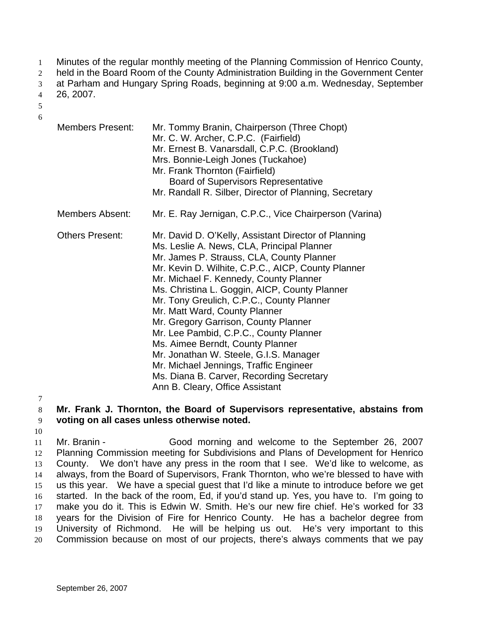Minutes of the regular monthly meeting of the Planning Commission of Henrico County, 1

held in the Board Room of the County Administration Building in the Government Center 2

at Parham and Hungary Spring Roads, beginning at 9:00 a.m. Wednesday, September 3

26, 2007. 4

5 6

| <b>Members Present:</b> | Mr. Tommy Branin, Chairperson (Three Chopt)<br>Mr. C. W. Archer, C.P.C. (Fairfield)<br>Mr. Ernest B. Vanarsdall, C.P.C. (Brookland)<br>Mrs. Bonnie-Leigh Jones (Tuckahoe)<br>Mr. Frank Thornton (Fairfield)<br><b>Board of Supervisors Representative</b><br>Mr. Randall R. Silber, Director of Planning, Secretary                                                                                                                                                                                                                                                                                                                                                     |
|-------------------------|-------------------------------------------------------------------------------------------------------------------------------------------------------------------------------------------------------------------------------------------------------------------------------------------------------------------------------------------------------------------------------------------------------------------------------------------------------------------------------------------------------------------------------------------------------------------------------------------------------------------------------------------------------------------------|
| <b>Members Absent:</b>  | Mr. E. Ray Jernigan, C.P.C., Vice Chairperson (Varina)                                                                                                                                                                                                                                                                                                                                                                                                                                                                                                                                                                                                                  |
| <b>Others Present:</b>  | Mr. David D. O'Kelly, Assistant Director of Planning<br>Ms. Leslie A. News, CLA, Principal Planner<br>Mr. James P. Strauss, CLA, County Planner<br>Mr. Kevin D. Wilhite, C.P.C., AICP, County Planner<br>Mr. Michael F. Kennedy, County Planner<br>Ms. Christina L. Goggin, AICP, County Planner<br>Mr. Tony Greulich, C.P.C., County Planner<br>Mr. Matt Ward, County Planner<br>Mr. Gregory Garrison, County Planner<br>Mr. Lee Pambid, C.P.C., County Planner<br>Ms. Aimee Berndt, County Planner<br>Mr. Jonathan W. Steele, G.I.S. Manager<br>Mr. Michael Jennings, Traffic Engineer<br>Ms. Diana B. Carver, Recording Secretary<br>Ann B. Cleary, Office Assistant |

7

8 9 **Mr. Frank J. Thornton, the Board of Supervisors representative, abstains from voting on all cases unless otherwise noted.** 

10

11 12 13 14 15 16 17 18 19 20 Mr. Branin - Good morning and welcome to the September 26, 2007 Planning Commission meeting for Subdivisions and Plans of Development for Henrico County. We don't have any press in the room that I see. We'd like to welcome, as always, from the Board of Supervisors, Frank Thornton, who we're blessed to have with us this year. We have a special guest that I'd like a minute to introduce before we get started. In the back of the room, Ed, if you'd stand up. Yes, you have to. I'm going to make you do it. This is Edwin W. Smith. He's our new fire chief. He's worked for 33 years for the Division of Fire for Henrico County. He has a bachelor degree from University of Richmond. He will be helping us out. He's very important to this Commission because on most of our projects, there's always comments that we pay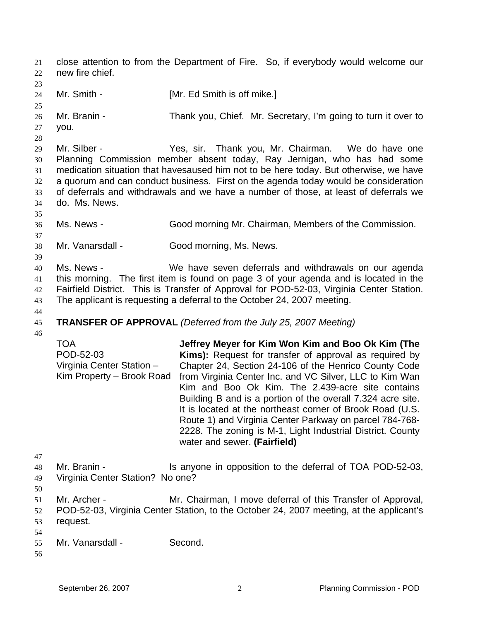close attention to from the Department of Fire. So, if everybody would welcome our new fire chief. 21 22 23 24 25 26 27 28 29 30 31 32 33 34 35 36 37 38 39 40 41 42 43 44 45 46 47 48 49 50 51 52 53 54 55 56 Mr. Smith - [Mr. Ed Smith is off mike.] Mr. Branin - Thank you, Chief. Mr. Secretary, I'm going to turn it over to you. Mr. Silber - Thank you, Mr. Chairman. We do have one Planning Commission member absent today, Ray Jernigan, who has had some medication situation that havesaused him not to be here today. But otherwise, we have a quorum and can conduct business. First on the agenda today would be consideration of deferrals and withdrawals and we have a number of those, at least of deferrals we do. Ms. News. Ms. News - Good morning Mr. Chairman, Members of the Commission. Mr. Vanarsdall - Good morning, Ms. News. Ms. News - We have seven deferrals and withdrawals on our agenda this morning. The first item is found on page 3 of your agenda and is located in the Fairfield District. This is Transfer of Approval for POD-52-03, Virginia Center Station. The applicant is requesting a deferral to the October 24, 2007 meeting. **TRANSFER OF APPROVAL** *(Deferred from the July 25, 2007 Meeting)*  TOA POD-52-03 Virginia Center Station – Kim Property – Brook Road **Jeffrey Meyer for Kim Won Kim and Boo Ok Kim (The Kims):** Request for transfer of approval as required by Chapter 24, Section 24-106 of the Henrico County Code from Virginia Center Inc. and VC Silver, LLC to Kim Wan Kim and Boo Ok Kim. The 2.439-acre site contains Building B and is a portion of the overall 7.324 acre site. It is located at the northeast corner of Brook Road (U.S. Route 1) and Virginia Center Parkway on parcel 784-768- 2228. The zoning is M-1, Light Industrial District. County water and sewer. **(Fairfield)** Mr. Branin - Is anyone in opposition to the deferral of TOA POD-52-03, Virginia Center Station? No one? Mr. Archer - **Mr. Chairman, I move deferral of this Transfer of Approval,** POD-52-03, Virginia Center Station, to the October 24, 2007 meeting, at the applicant's request. Mr. Vanarsdall - Second.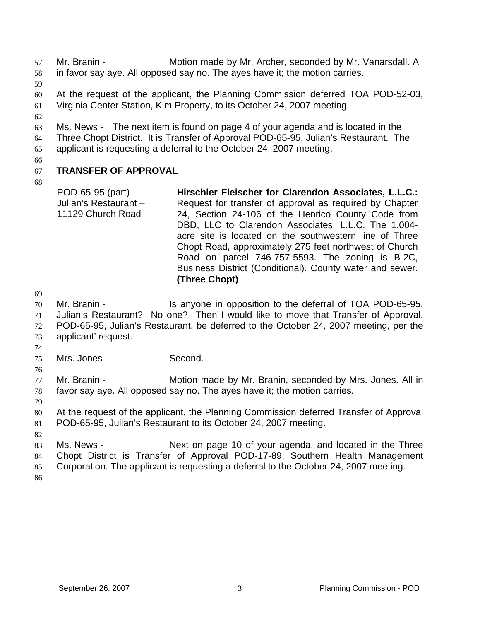Mr. Branin - Motion made by Mr. Archer, seconded by Mr. Vanarsdall. All in favor say aye. All opposed say no. The ayes have it; the motion carries. 57 58 59 60 61 62 63 64 65 66 67 68 At the request of the applicant, the Planning Commission deferred TOA POD-52-03, Virginia Center Station, Kim Property, to its October 24, 2007 meeting. Ms. News - The next item is found on page 4 of your agenda and is located in the Three Chopt District. It is Transfer of Approval POD-65-95, Julian's Restaurant. The applicant is requesting a deferral to the October 24, 2007 meeting. **TRANSFER OF APPROVAL**  POD-65-95 (part) Julian's Restaurant – 11129 Church Road **Hirschler Fleischer for Clarendon Associates, L.L.C.:**  Request for transfer of approval as required by Chapter 24, Section 24-106 of the Henrico County Code from DBD, LLC to Clarendon Associates, L.L.C. The 1.004-

acre site is located on the southwestern line of Three Chopt Road, approximately 275 feet northwest of Church Road on parcel 746-757-5593. The zoning is B-2C, Business District (Conditional). County water and sewer. **(Three Chopt)**

69

70 71 72 73 Mr. Branin - The Is anyone in opposition to the deferral of TOA POD-65-95, Julian's Restaurant? No one? Then I would like to move that Transfer of Approval, POD-65-95, Julian's Restaurant, be deferred to the October 24, 2007 meeting, per the applicant' request.

- 75 Mrs. Jones - Second.
- 76

74

77 78 Mr. Branin - **Motion made by Mr. Branin, seconded by Mrs. Jones. All in** favor say aye. All opposed say no. The ayes have it; the motion carries.

79

80 81 At the request of the applicant, the Planning Commission deferred Transfer of Approval POD-65-95, Julian's Restaurant to its October 24, 2007 meeting.

82

83 84 85 Ms. News - Next on page 10 of your agenda, and located in the Three Chopt District is Transfer of Approval POD-17-89, Southern Health Management Corporation. The applicant is requesting a deferral to the October 24, 2007 meeting.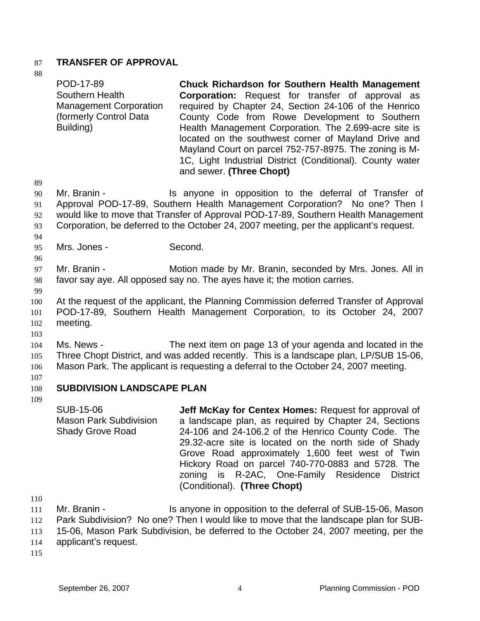### 87 **TRANSFER OF APPROVAL**

88

89 90 91 92 93 94 95 96 97 98 99 100 101 102 103 104 105 106 107 108 109 POD-17-89 Southern Health Management Corporation (formerly Control Data Building) **Chuck Richardson for Southern Health Management Corporation:** Request for transfer of approval as required by Chapter 24, Section 24-106 of the Henrico County Code from Rowe Development to Southern Health Management Corporation. The 2.699-acre site is located on the southwest corner of Mayland Drive and Mayland Court on parcel 752-757-8975. The zoning is M-1C, Light Industrial District (Conditional). County water and sewer. **(Three Chopt)** Mr. Branin - The Supposition is anyone in opposition to the deferral of Transfer of Approval POD-17-89, Southern Health Management Corporation? No one? Then I would like to move that Transfer of Approval POD-17-89, Southern Health Management Corporation, be deferred to the October 24, 2007 meeting, per the applicant's request. Mrs. Jones - Second. Mr. Branin - **Motion made by Mr. Branin, seconded by Mrs. Jones. All in** favor say aye. All opposed say no. The ayes have it; the motion carries. At the request of the applicant, the Planning Commission deferred Transfer of Approval POD-17-89, Southern Health Management Corporation, to its October 24, 2007 meeting. Ms. News - The next item on page 13 of your agenda and located in the Three Chopt District, and was added recently. This is a landscape plan, LP/SUB 15-06, Mason Park. The applicant is requesting a deferral to the October 24, 2007 meeting. **SUBDIVISION LANDSCAPE PLAN**  SUB-15-06 Mason Park Subdivision Shady Grove Road **Jeff McKay for Centex Homes:** Request for approval of a landscape plan, as required by Chapter 24, Sections 24-106 and 24-106.2 of the Henrico County Code. The 29.32-acre site is located on the north side of Shady Grove Road approximately 1,600 feet west of Twin Hickory Road on parcel 740-770-0883 and 5728. The zoning is R-2AC, One-Family Residence District (Conditional). **(Three Chopt)**

110

111 112 113 114 Mr. Branin - The Is anyone in opposition to the deferral of SUB-15-06, Mason Park Subdivision? No one? Then I would like to move that the landscape plan for SUB-15-06, Mason Park Subdivision, be deferred to the October 24, 2007 meeting, per the applicant's request.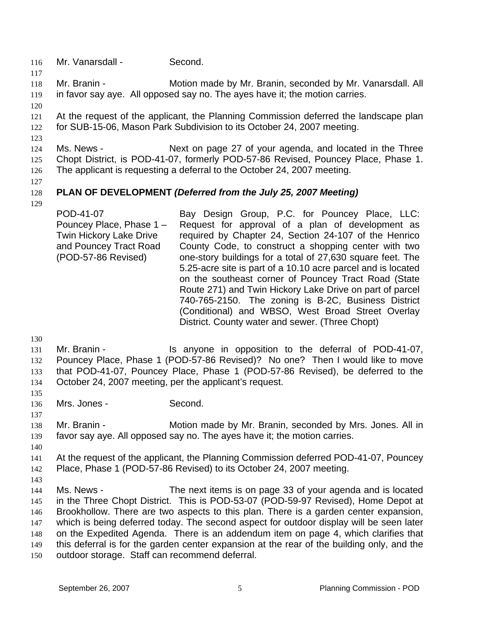- 116 Mr. Vanarsdall Second.
- 118 119 Mr. Branin - **Motion made by Mr. Branin, seconded by Mr. Vanarsdall. All** in favor say aye. All opposed say no. The ayes have it; the motion carries.
- 120

117

121 122 At the request of the applicant, the Planning Commission deferred the landscape plan for SUB-15-06, Mason Park Subdivision to its October 24, 2007 meeting.

123

124 125 126 Ms. News - Next on page 27 of your agenda, and located in the Three Chopt District, is POD-41-07, formerly POD-57-86 Revised, Pouncey Place, Phase 1. The applicant is requesting a deferral to the October 24, 2007 meeting.

127

129

### 128 **PLAN OF DEVELOPMENT** *(Deferred from the July 25, 2007 Meeting)*

POD-41-07 Pouncey Place, Phase 1 – Twin Hickory Lake Drive and Pouncey Tract Road (POD-57-86 Revised) Bay Design Group, P.C. for Pouncey Place, LLC: Request for approval of a plan of development as required by Chapter 24, Section 24-107 of the Henrico County Code, to construct a shopping center with two one-story buildings for a total of 27,630 square feet. The 5.25-acre site is part of a 10.10 acre parcel and is located on the southeast corner of Pouncey Tract Road (State Route 271) and Twin Hickory Lake Drive on part of parcel 740-765-2150. The zoning is B-2C, Business District (Conditional) and WBSO, West Broad Street Overlay District. County water and sewer. (Three Chopt)

130

- 131 132 133 134 Mr. Branin - The Is anyone in opposition to the deferral of POD-41-07, Pouncey Place, Phase 1 (POD-57-86 Revised)? No one? Then I would like to move that POD-41-07, Pouncey Place, Phase 1 (POD-57-86 Revised), be deferred to the October 24, 2007 meeting, per the applicant's request.
- 135 136

137

- Mrs. Jones Second.
- 138 139 Mr. Branin - **Motion made by Mr. Branin, seconded by Mrs. Jones. All in** favor say aye. All opposed say no. The ayes have it; the motion carries.
- 140

141 142 At the request of the applicant, the Planning Commission deferred POD-41-07, Pouncey Place, Phase 1 (POD-57-86 Revised) to its October 24, 2007 meeting.

143

144 145 146 147 148 149 150 Ms. News - The next items is on page 33 of your agenda and is located in the Three Chopt District. This is POD-53-07 (POD-59-97 Revised), Home Depot at Brookhollow. There are two aspects to this plan. There is a garden center expansion, which is being deferred today. The second aspect for outdoor display will be seen later on the Expedited Agenda. There is an addendum item on page 4, which clarifies that this deferral is for the garden center expansion at the rear of the building only, and the outdoor storage. Staff can recommend deferral.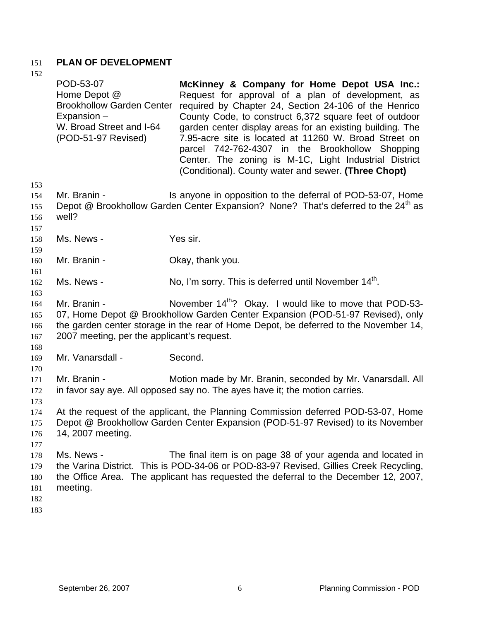## 151 **PLAN OF DEVELOPMENT**

| 152                      |                                                                                                                                 |                                                                                                                                                                                                                                                                                                                                                                                                                                                                                                               |
|--------------------------|---------------------------------------------------------------------------------------------------------------------------------|---------------------------------------------------------------------------------------------------------------------------------------------------------------------------------------------------------------------------------------------------------------------------------------------------------------------------------------------------------------------------------------------------------------------------------------------------------------------------------------------------------------|
|                          | POD-53-07<br>Home Depot @<br><b>Brookhollow Garden Center</b><br>Expansion -<br>W. Broad Street and I-64<br>(POD-51-97 Revised) | McKinney & Company for Home Depot USA Inc.:<br>Request for approval of a plan of development, as<br>required by Chapter 24, Section 24-106 of the Henrico<br>County Code, to construct 6,372 square feet of outdoor<br>garden center display areas for an existing building. The<br>7.95-acre site is located at 11260 W. Broad Street on<br>parcel 742-762-4307 in the Brookhollow Shopping<br>Center. The zoning is M-1C, Light Industrial District<br>(Conditional). County water and sewer. (Three Chopt) |
| 153                      |                                                                                                                                 |                                                                                                                                                                                                                                                                                                                                                                                                                                                                                                               |
| 154<br>155<br>156<br>157 | Mr. Branin -<br>well?                                                                                                           | Is anyone in opposition to the deferral of POD-53-07, Home<br>Depot @ Brookhollow Garden Center Expansion? None? That's deferred to the 24 <sup>th</sup> as                                                                                                                                                                                                                                                                                                                                                   |
| 158                      | Ms. News -                                                                                                                      | Yes sir.                                                                                                                                                                                                                                                                                                                                                                                                                                                                                                      |
| 159                      |                                                                                                                                 |                                                                                                                                                                                                                                                                                                                                                                                                                                                                                                               |
| 160                      | Mr. Branin -                                                                                                                    | Okay, thank you.                                                                                                                                                                                                                                                                                                                                                                                                                                                                                              |
| 161                      |                                                                                                                                 |                                                                                                                                                                                                                                                                                                                                                                                                                                                                                                               |
| 162                      | Ms. News -                                                                                                                      | No, I'm sorry. This is deferred until November 14 <sup>th</sup> .                                                                                                                                                                                                                                                                                                                                                                                                                                             |
| 163                      |                                                                                                                                 |                                                                                                                                                                                                                                                                                                                                                                                                                                                                                                               |
| 164<br>165<br>166<br>167 | Mr. Branin -<br>2007 meeting, per the applicant's request.                                                                      | November 14 <sup>th</sup> ? Okay. I would like to move that POD-53-<br>07, Home Depot @ Brookhollow Garden Center Expansion (POD-51-97 Revised), only<br>the garden center storage in the rear of Home Depot, be deferred to the November 14,                                                                                                                                                                                                                                                                 |
| 168                      |                                                                                                                                 |                                                                                                                                                                                                                                                                                                                                                                                                                                                                                                               |
| 169                      | Mr. Vanarsdall -                                                                                                                | Second.                                                                                                                                                                                                                                                                                                                                                                                                                                                                                                       |
| 170                      |                                                                                                                                 |                                                                                                                                                                                                                                                                                                                                                                                                                                                                                                               |
| 171                      | Mr. Branin -                                                                                                                    | Motion made by Mr. Branin, seconded by Mr. Vanarsdall. All                                                                                                                                                                                                                                                                                                                                                                                                                                                    |
| 172                      |                                                                                                                                 | in favor say aye. All opposed say no. The ayes have it; the motion carries.                                                                                                                                                                                                                                                                                                                                                                                                                                   |
| 173                      |                                                                                                                                 |                                                                                                                                                                                                                                                                                                                                                                                                                                                                                                               |
| 174                      |                                                                                                                                 | At the request of the applicant, the Planning Commission deferred POD-53-07, Home                                                                                                                                                                                                                                                                                                                                                                                                                             |
| 175                      |                                                                                                                                 | Depot @ Brookhollow Garden Center Expansion (POD-51-97 Revised) to its November                                                                                                                                                                                                                                                                                                                                                                                                                               |
| 176                      | 14, 2007 meeting.                                                                                                               |                                                                                                                                                                                                                                                                                                                                                                                                                                                                                                               |
| 177                      |                                                                                                                                 |                                                                                                                                                                                                                                                                                                                                                                                                                                                                                                               |
| 178                      | Ms. News -                                                                                                                      | The final item is on page 38 of your agenda and located in                                                                                                                                                                                                                                                                                                                                                                                                                                                    |
| 179                      |                                                                                                                                 | the Varina District. This is POD-34-06 or POD-83-97 Revised, Gillies Creek Recycling,                                                                                                                                                                                                                                                                                                                                                                                                                         |
| 180                      |                                                                                                                                 | the Office Area. The applicant has requested the deferral to the December 12, 2007,                                                                                                                                                                                                                                                                                                                                                                                                                           |
| 181                      | meeting.                                                                                                                        |                                                                                                                                                                                                                                                                                                                                                                                                                                                                                                               |
| 182                      |                                                                                                                                 |                                                                                                                                                                                                                                                                                                                                                                                                                                                                                                               |
| 183                      |                                                                                                                                 |                                                                                                                                                                                                                                                                                                                                                                                                                                                                                                               |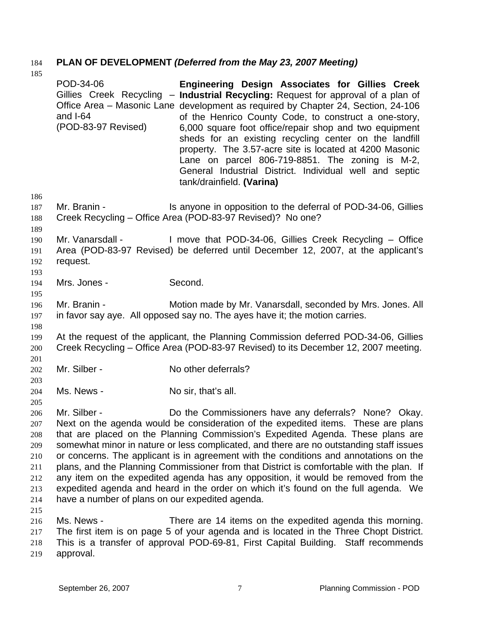# 184 **PLAN OF DEVELOPMENT** *(Deferred from the May 23, 2007 Meeting)*

|                                                                    | POD-34-06<br>and I-64<br>(POD-83-97 Revised)                    | Engineering Design Associates for Gillies Creek<br>Gillies Creek Recycling - Industrial Recycling: Request for approval of a plan of<br>Office Area – Masonic Lane development as required by Chapter 24, Section, 24-106<br>of the Henrico County Code, to construct a one-story,<br>6,000 square foot office/repair shop and two equipment<br>sheds for an existing recycling center on the landfill<br>property. The 3.57-acre site is located at 4200 Masonic<br>Lane on parcel 806-719-8851. The zoning is M-2,<br>General Industrial District. Individual well and septic<br>tank/drainfield. (Varina)                                                                           |
|--------------------------------------------------------------------|-----------------------------------------------------------------|----------------------------------------------------------------------------------------------------------------------------------------------------------------------------------------------------------------------------------------------------------------------------------------------------------------------------------------------------------------------------------------------------------------------------------------------------------------------------------------------------------------------------------------------------------------------------------------------------------------------------------------------------------------------------------------|
| 186                                                                |                                                                 |                                                                                                                                                                                                                                                                                                                                                                                                                                                                                                                                                                                                                                                                                        |
| 187<br>188                                                         | Mr. Branin -                                                    | Is anyone in opposition to the deferral of POD-34-06, Gillies<br>Creek Recycling – Office Area (POD-83-97 Revised)? No one?                                                                                                                                                                                                                                                                                                                                                                                                                                                                                                                                                            |
| 189<br>190<br>191<br>192<br>193                                    | Mr. Vanarsdall -<br>request.                                    | I move that POD-34-06, Gillies Creek Recycling – Office<br>Area (POD-83-97 Revised) be deferred until December 12, 2007, at the applicant's                                                                                                                                                                                                                                                                                                                                                                                                                                                                                                                                            |
| 194<br>195                                                         | Mrs. Jones -                                                    | Second.                                                                                                                                                                                                                                                                                                                                                                                                                                                                                                                                                                                                                                                                                |
| 196<br>197<br>198                                                  | Mr. Branin -                                                    | Motion made by Mr. Vanarsdall, seconded by Mrs. Jones. All<br>in favor say aye. All opposed say no. The ayes have it; the motion carries.                                                                                                                                                                                                                                                                                                                                                                                                                                                                                                                                              |
| 199<br>200                                                         |                                                                 | At the request of the applicant, the Planning Commission deferred POD-34-06, Gillies<br>Creek Recycling – Office Area (POD-83-97 Revised) to its December 12, 2007 meeting.                                                                                                                                                                                                                                                                                                                                                                                                                                                                                                            |
| 201<br>202<br>203                                                  | Mr. Silber -                                                    | No other deferrals?                                                                                                                                                                                                                                                                                                                                                                                                                                                                                                                                                                                                                                                                    |
| 204<br>205                                                         | Ms. News -                                                      | No sir, that's all.                                                                                                                                                                                                                                                                                                                                                                                                                                                                                                                                                                                                                                                                    |
| 206<br>207<br>208<br>209<br>210<br>211<br>212<br>213<br>214<br>215 | Mr. Silber -<br>have a number of plans on our expedited agenda. | Do the Commissioners have any deferrals? None? Okay.<br>Next on the agenda would be consideration of the expedited items. These are plans<br>that are placed on the Planning Commission's Expedited Agenda. These plans are<br>somewhat minor in nature or less complicated, and there are no outstanding staff issues<br>or concerns. The applicant is in agreement with the conditions and annotations on the<br>plans, and the Planning Commissioner from that District is comfortable with the plan. If<br>any item on the expedited agenda has any opposition, it would be removed from the<br>expedited agenda and heard in the order on which it's found on the full agenda. We |
| 216<br>217<br>218<br>219                                           | Ms. News -<br>approval.                                         | There are 14 items on the expedited agenda this morning.<br>The first item is on page 5 of your agenda and is located in the Three Chopt District.<br>This is a transfer of approval POD-69-81, First Capital Building. Staff recommends                                                                                                                                                                                                                                                                                                                                                                                                                                               |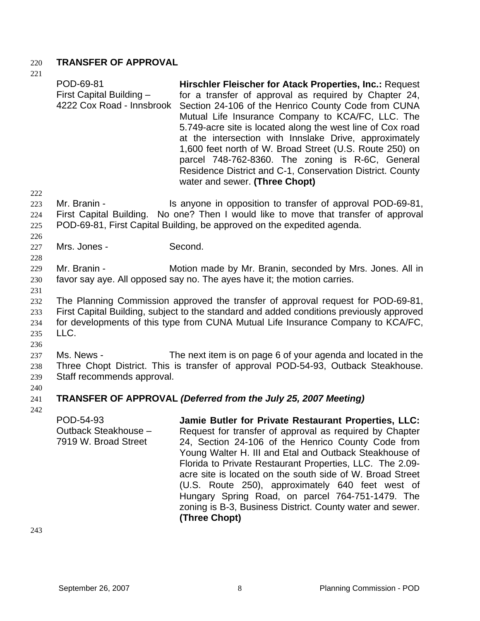### 220 **TRANSFER OF APPROVAL**

221 222 223 224 225 226 227 228 229 230 231 232 POD-69-81 First Capital Building – 4222 Cox Road - Innsbrook **Hirschler Fleischer for Atack Properties, Inc.:** Request for a transfer of approval as required by Chapter 24, Section 24-106 of the Henrico County Code from CUNA Mutual Life Insurance Company to KCA/FC, LLC. The 5.749-acre site is located along the west line of Cox road at the intersection with Innslake Drive, approximately 1,600 feet north of W. Broad Street (U.S. Route 250) on parcel 748-762-8360. The zoning is R-6C, General Residence District and C-1, Conservation District. County water and sewer. **(Three Chopt)** Mr. Branin - Is anyone in opposition to transfer of approval POD-69-81, First Capital Building. No one? Then I would like to move that transfer of approval POD-69-81, First Capital Building, be approved on the expedited agenda. Mrs. Jones - Second. Mr. Branin - Motion made by Mr. Branin, seconded by Mrs. Jones. All in favor say aye. All opposed say no. The ayes have it; the motion carries. The Planning Commission approved the transfer of approval request for POD-69-81, First Capital Building, subject to the standard and added conditions previously approved

233 234 235 236 for developments of this type from CUNA Mutual Life Insurance Company to KCA/FC, LLC.

237 238 239 Ms. News - The next item is on page 6 of your agenda and located in the Three Chopt District. This is transfer of approval POD-54-93, Outback Steakhouse. Staff recommends approval.

#### 241 **TRANSFER OF APPROVAL** *(Deferred from the July 25, 2007 Meeting)*

242

240

POD-54-93 Outback Steakhouse – 7919 W. Broad Street **Jamie Butler for Private Restaurant Properties, LLC:**  Request for transfer of approval as required by Chapter 24, Section 24-106 of the Henrico County Code from Young Walter H. III and Etal and Outback Steakhouse of Florida to Private Restaurant Properties, LLC. The 2.09 acre site is located on the south side of W. Broad Street (U.S. Route 250), approximately 640 feet west of Hungary Spring Road, on parcel 764-751-1479. The zoning is B-3, Business District. County water and sewer. **(Three Chopt)**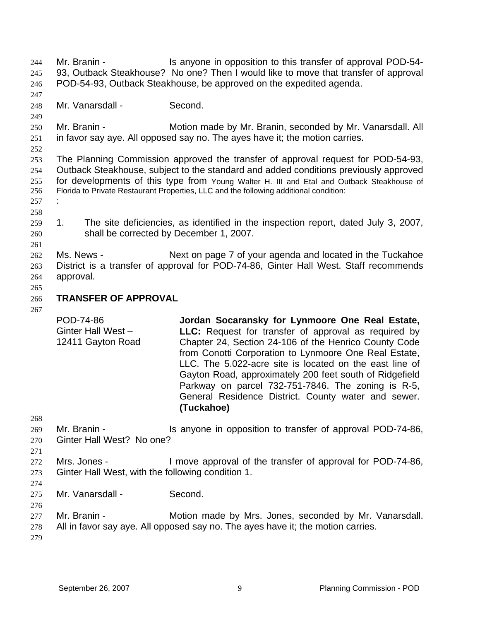Mr. Branin - This anyone in opposition to this transfer of approval POD-54-93, Outback Steakhouse? No one? Then I would like to move that transfer of approval POD-54-93, Outback Steakhouse, be approved on the expedited agenda. 244 245 246 247 248 249 250 251 252 253 254 255 256 257 258 259 260 261 262 263 264 265 266 267 268 269 270 271 272 273 274 275 276 277 278 279 Mr. Vanarsdall - Second. Mr. Branin - **Motion made by Mr. Branin, seconded by Mr. Vanarsdall. All** in favor say aye. All opposed say no. The ayes have it; the motion carries. The Planning Commission approved the transfer of approval request for POD-54-93, Outback Steakhouse, subject to the standard and added conditions previously approved for developments of this type from Young Walter H. III and Etal and Outback Steakhouse of Florida to Private Restaurant Properties, LLC and the following additional condition: : 1. The site deficiencies, as identified in the inspection report, dated July 3, 2007, shall be corrected by December 1, 2007. Ms. News - Next on page 7 of your agenda and located in the Tuckahoe District is a transfer of approval for POD-74-86, Ginter Hall West. Staff recommends approval. **TRANSFER OF APPROVAL**  POD-74-86 Ginter Hall West – 12411 Gayton Road **Jordan Socaransky for Lynmoore One Real Estate, LLC:** Request for transfer of approval as required by Chapter 24, Section 24-106 of the Henrico County Code from Conotti Corporation to Lynmoore One Real Estate, LLC. The 5.022-acre site is located on the east line of Gayton Road, approximately 200 feet south of Ridgefield Parkway on parcel 732-751-7846. The zoning is R-5, General Residence District. County water and sewer. **(Tuckahoe)** Mr. Branin - The Is anyone in opposition to transfer of approval POD-74-86, Ginter Hall West? No one? Mrs. Jones - I move approval of the transfer of approval for POD-74-86, Ginter Hall West, with the following condition 1. Mr. Vanarsdall - Second. Mr. Branin - **Motion made by Mrs. Jones, seconded by Mr. Vanarsdall.** All in favor say aye. All opposed say no. The ayes have it; the motion carries.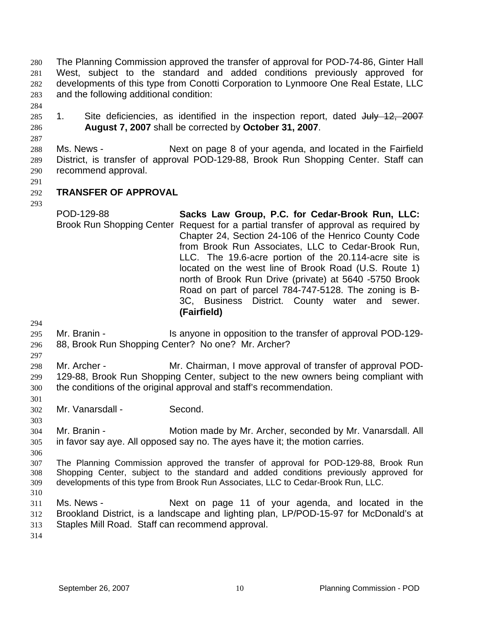The Planning Commission approved the transfer of approval for POD-74-86, Ginter Hall West, subject to the standard and added conditions previously approved for developments of this type from Conotti Corporation to Lynmoore One Real Estate, LLC and the following additional condition: 280 281 282 283

284

287

1. Site deficiencies, as identified in the inspection report, dated July 12, 2007 **August 7, 2007** shall be corrected by **October 31, 2007**. 285 286

288 289 290 Ms. News - Next on page 8 of your agenda, and located in the Fairfield District, is transfer of approval POD-129-88, Brook Run Shopping Center. Staff can recommend approval.

291

293

### 292 **TRANSFER OF APPROVAL**

POD-129-88 Brook Run Shopping Center Request for a partial transfer of approval as required by **Sacks Law Group, P.C. for Cedar-Brook Run, LLC:**  Chapter 24, Section 24-106 of the Henrico County Code from Brook Run Associates, LLC to Cedar-Brook Run, LLC. The 19.6-acre portion of the 20.114-acre site is located on the west line of Brook Road (U.S. Route 1) north of Brook Run Drive (private) at 5640 -5750 Brook Road on part of parcel 784-747-5128. The zoning is B-3C, Business District. County water and sewer. **(Fairfield)**

294

297

301

- 295
- 296 Mr. Branin - The Is anyone in opposition to the transfer of approval POD-129-88, Brook Run Shopping Center? No one? Mr. Archer?
- 298 299 300 Mr. Archer - Mr. Chairman, I move approval of transfer of approval POD-129-88, Brook Run Shopping Center, subject to the new owners being compliant with the conditions of the original approval and staff's recommendation.
- 302 Mr. Vanarsdall - Second.
- 304 305 Mr. Branin - **Motion made by Mr. Archer, seconded by Mr. Vanarsdall. All** in favor say aye. All opposed say no. The ayes have it; the motion carries.
- 306
- 307 308 309 310 The Planning Commission approved the transfer of approval for POD-129-88, Brook Run Shopping Center, subject to the standard and added conditions previously approved for developments of this type from Brook Run Associates, LLC to Cedar-Brook Run, LLC.
- 311 312 313 Ms. News - The Mext on page 11 of your agenda, and located in the Brookland District, is a landscape and lighting plan, LP/POD-15-97 for McDonald's at Staples Mill Road. Staff can recommend approval.
- 314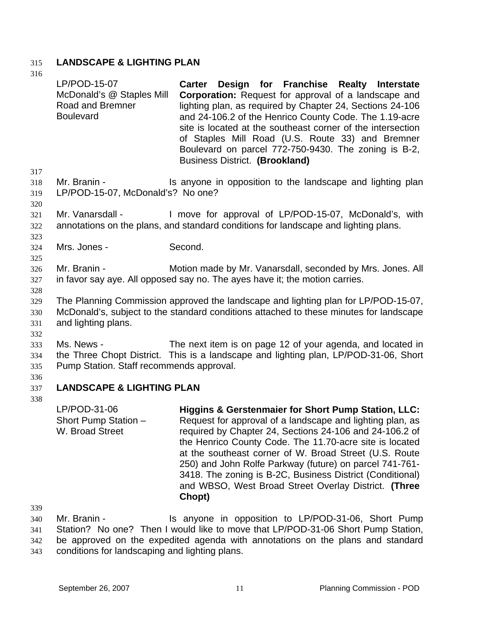# 315 **LANDSCAPE & LIGHTING PLAN**

316

|                                 | LP/POD-15-07<br>McDonald's @ Staples Mill<br>Road and Bremner<br><b>Boulevard</b> | Carter Design for Franchise Realty Interstate<br><b>Corporation:</b> Request for approval of a landscape and<br>lighting plan, as required by Chapter 24, Sections 24-106<br>and 24-106.2 of the Henrico County Code. The 1.19-acre<br>site is located at the southeast corner of the intersection<br>of Staples Mill Road (U.S. Route 33) and Bremner<br>Boulevard on parcel 772-750-9430. The zoning is B-2,<br><b>Business District. (Brookland)</b>                                               |
|---------------------------------|-----------------------------------------------------------------------------------|-------------------------------------------------------------------------------------------------------------------------------------------------------------------------------------------------------------------------------------------------------------------------------------------------------------------------------------------------------------------------------------------------------------------------------------------------------------------------------------------------------|
| 317<br>318<br>319<br>320        | Mr. Branin -<br>LP/POD-15-07, McDonald's? No one?                                 | Is anyone in opposition to the landscape and lighting plan                                                                                                                                                                                                                                                                                                                                                                                                                                            |
| 321<br>322<br>323               | Mr. Vanarsdall -                                                                  | I move for approval of LP/POD-15-07, McDonald's, with<br>annotations on the plans, and standard conditions for landscape and lighting plans.                                                                                                                                                                                                                                                                                                                                                          |
| 324                             | Mrs. Jones -                                                                      | Second.                                                                                                                                                                                                                                                                                                                                                                                                                                                                                               |
| 325<br>326<br>327               | Mr. Branin -                                                                      | Motion made by Mr. Vanarsdall, seconded by Mrs. Jones. All<br>in favor say aye. All opposed say no. The ayes have it; the motion carries.                                                                                                                                                                                                                                                                                                                                                             |
| 328<br>329<br>330<br>331<br>332 | and lighting plans.                                                               | The Planning Commission approved the landscape and lighting plan for LP/POD-15-07,<br>McDonald's, subject to the standard conditions attached to these minutes for landscape                                                                                                                                                                                                                                                                                                                          |
| 333<br>334<br>335               | Ms. News -<br>Pump Station. Staff recommends approval.                            | The next item is on page 12 of your agenda, and located in<br>the Three Chopt District. This is a landscape and lighting plan, LP/POD-31-06, Short                                                                                                                                                                                                                                                                                                                                                    |
| 336<br>337                      | <b>LANDSCAPE &amp; LIGHTING PLAN</b>                                              |                                                                                                                                                                                                                                                                                                                                                                                                                                                                                                       |
| 338                             | LP/POD-31-06<br>Short Pump Station -<br>W. Broad Street                           | <b>Higgins &amp; Gerstenmaier for Short Pump Station, LLC:</b><br>Request for approval of a landscape and lighting plan, as<br>required by Chapter 24, Sections 24-106 and 24-106.2 of<br>the Henrico County Code. The 11.70-acre site is located<br>at the southeast corner of W. Broad Street (U.S. Route<br>250) and John Rolfe Parkway (future) on parcel 741-761-<br>3418. The zoning is B-2C, Business District (Conditional)<br>and WBSO, West Broad Street Overlay District. (Three<br>Chopt) |
| 339<br>340<br>341               | Mr. Branin -                                                                      | Is anyone in opposition to LP/POD-31-06, Short Pump<br>Station? No one? Then I would like to move that LP/POD-31-06 Short Pump Station,                                                                                                                                                                                                                                                                                                                                                               |

342 343 Station? No one? Then I would like to move that LP/POD-31-06 Short Pump Station, be approved on the expedited agenda with annotations on the plans and standard conditions for landscaping and lighting plans.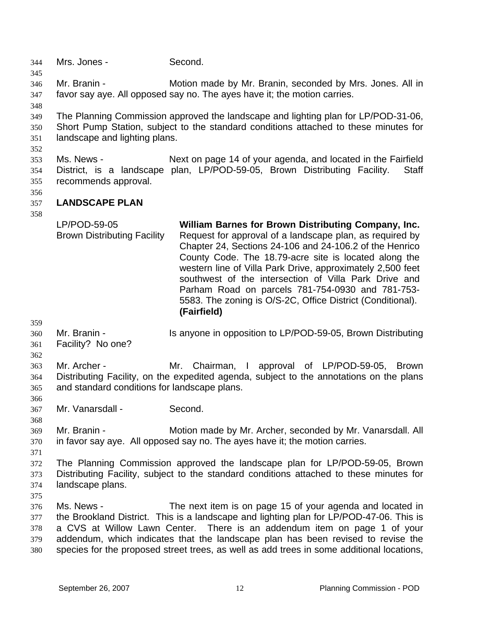344 Mrs. Jones - Second. 345 346 347 348 349 350 351 352 353 354 355 356 357 358 359 360 361 362 363 364 365 366 367 368 369 370 371 372 373 374 375 376 377 378 379 380 Mr. Branin - Motion made by Mr. Branin, seconded by Mrs. Jones. All in favor say aye. All opposed say no. The ayes have it; the motion carries. The Planning Commission approved the landscape and lighting plan for LP/POD-31-06, Short Pump Station, subject to the standard conditions attached to these minutes for landscape and lighting plans. Ms. News - Next on page 14 of your agenda, and located in the Fairfield District, is a landscape plan, LP/POD-59-05, Brown Distributing Facility. Staff recommends approval. **LANDSCAPE PLAN**  LP/POD-59-05 Brown Distributing Facility **William Barnes for Brown Distributing Company, Inc.**  Request for approval of a landscape plan, as required by Chapter 24, Sections 24-106 and 24-106.2 of the Henrico County Code. The 18.79-acre site is located along the western line of Villa Park Drive, approximately 2,500 feet southwest of the intersection of Villa Park Drive and Parham Road on parcels 781-754-0930 and 781-753- 5583. The zoning is O/S-2C, Office District (Conditional). **(Fairfield)** Mr. Branin - Is anyone in opposition to LP/POD-59-05, Brown Distributing Facility? No one? Mr. Archer - Mr. Chairman, I approval of LP/POD-59-05, Brown Distributing Facility, on the expedited agenda, subject to the annotations on the plans and standard conditions for landscape plans. Mr. Vanarsdall - Second. Mr. Branin - **Motion made by Mr. Archer, seconded by Mr. Vanarsdall. All** in favor say aye. All opposed say no. The ayes have it; the motion carries. The Planning Commission approved the landscape plan for LP/POD-59-05, Brown Distributing Facility, subject to the standard conditions attached to these minutes for landscape plans. Ms. News - The next item is on page 15 of your agenda and located in the Brookland District. This is a landscape and lighting plan for LP/POD-47-06. This is a CVS at Willow Lawn Center. There is an addendum item on page 1 of your addendum, which indicates that the landscape plan has been revised to revise the species for the proposed street trees, as well as add trees in some additional locations,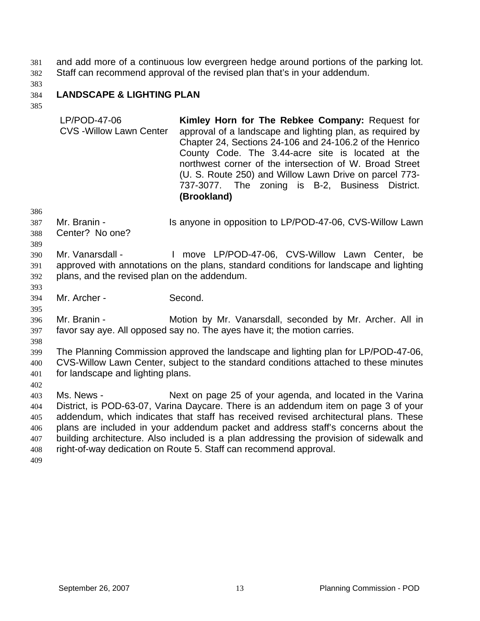and add more of a continuous low evergreen hedge around portions of the parking lot. Staff can recommend approval of the revised plan that's in your addendum. 381 382

383

#### 384 **LANDSCAPE & LIGHTING PLAN**

385

| LP/POD-47-06<br><b>CVS - Willow Lawn Center</b> | Kimley Horn for The Rebkee Company: Request for<br>approval of a landscape and lighting plan, as required by<br>Chapter 24, Sections 24-106 and 24-106.2 of the Henrico<br>County Code. The 3.44-acre site is located at the<br>northwest corner of the intersection of W. Broad Street<br>(U. S. Route 250) and Willow Lawn Drive on parcel 773- |
|-------------------------------------------------|---------------------------------------------------------------------------------------------------------------------------------------------------------------------------------------------------------------------------------------------------------------------------------------------------------------------------------------------------|
|                                                 |                                                                                                                                                                                                                                                                                                                                                   |
|                                                 | 737-3077. The zoning is B-2, Business District.                                                                                                                                                                                                                                                                                                   |
|                                                 | (Brookland)                                                                                                                                                                                                                                                                                                                                       |

386

389

393

395

387 Mr. Branin - Is anyone in opposition to LP/POD-47-06, CVS-Willow Lawn

388 Center? No one?

390 391 392 Mr. Vanarsdall - The Move LP/POD-47-06, CVS-Willow Lawn Center, be approved with annotations on the plans, standard conditions for landscape and lighting plans, and the revised plan on the addendum.

394 Mr. Archer - Second.

396 397 Mr. Branin - **Motion by Mr. Vanarsdall, seconded by Mr. Archer. All in** favor say aye. All opposed say no. The ayes have it; the motion carries.

398

402

399 400 401 The Planning Commission approved the landscape and lighting plan for LP/POD-47-06, CVS-Willow Lawn Center, subject to the standard conditions attached to these minutes for landscape and lighting plans.

403 404 405 406 407 408 Ms. News - Next on page 25 of your agenda, and located in the Varina District, is POD-63-07, Varina Daycare. There is an addendum item on page 3 of your addendum, which indicates that staff has received revised architectural plans. These plans are included in your addendum packet and address staff's concerns about the building architecture. Also included is a plan addressing the provision of sidewalk and right-of-way dedication on Route 5. Staff can recommend approval.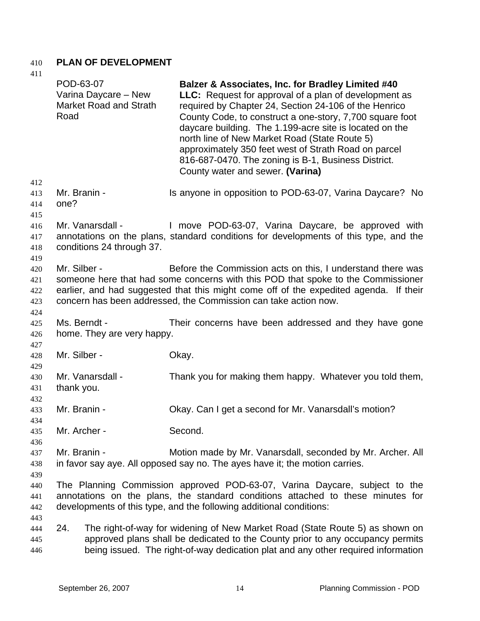## 410 **PLAN OF DEVELOPMENT**

| 411<br>412                      | POD-63-07<br>Road    | Varina Daycare - New<br><b>Market Road and Strath</b> | Balzer & Associates, Inc. for Bradley Limited #40<br>LLC: Request for approval of a plan of development as<br>required by Chapter 24, Section 24-106 of the Henrico<br>County Code, to construct a one-story, 7,700 square foot<br>daycare building. The 1.199-acre site is located on the<br>north line of New Market Road (State Route 5)<br>approximately 350 feet west of Strath Road on parcel<br>816-687-0470. The zoning is B-1, Business District.<br>County water and sewer. (Varina) |
|---------------------------------|----------------------|-------------------------------------------------------|------------------------------------------------------------------------------------------------------------------------------------------------------------------------------------------------------------------------------------------------------------------------------------------------------------------------------------------------------------------------------------------------------------------------------------------------------------------------------------------------|
| 413<br>414<br>415               | Mr. Branin -<br>one? |                                                       | Is anyone in opposition to POD-63-07, Varina Daycare? No                                                                                                                                                                                                                                                                                                                                                                                                                                       |
| 416<br>417<br>418<br>419        |                      | Mr. Vanarsdall -<br>conditions 24 through 37.         | I move POD-63-07, Varina Daycare, be approved with<br>annotations on the plans, standard conditions for developments of this type, and the                                                                                                                                                                                                                                                                                                                                                     |
| 420<br>421<br>422<br>423<br>424 | Mr. Silber -         |                                                       | Before the Commission acts on this, I understand there was<br>someone here that had some concerns with this POD that spoke to the Commissioner<br>earlier, and had suggested that this might come off of the expedited agenda. If their<br>concern has been addressed, the Commission can take action now.                                                                                                                                                                                     |
| 425<br>426<br>427               | Ms. Berndt -         | home. They are very happy.                            | Their concerns have been addressed and they have gone                                                                                                                                                                                                                                                                                                                                                                                                                                          |
| 428<br>429                      | Mr. Silber -         |                                                       | Okay.                                                                                                                                                                                                                                                                                                                                                                                                                                                                                          |
| 430<br>431<br>432               | thank you.           | Mr. Vanarsdall -                                      | Thank you for making them happy. Whatever you told them,                                                                                                                                                                                                                                                                                                                                                                                                                                       |
| 433<br>434                      | Mr. Branin -         |                                                       | Okay. Can I get a second for Mr. Vanarsdall's motion?                                                                                                                                                                                                                                                                                                                                                                                                                                          |
| 435<br>436                      | Mr. Archer -         |                                                       | Second.                                                                                                                                                                                                                                                                                                                                                                                                                                                                                        |
| 437<br>438<br>439               | Mr. Branin -         |                                                       | Motion made by Mr. Vanarsdall, seconded by Mr. Archer. All<br>in favor say aye. All opposed say no. The ayes have it; the motion carries.                                                                                                                                                                                                                                                                                                                                                      |
| 440<br>441<br>442               |                      |                                                       | The Planning Commission approved POD-63-07, Varina Daycare, subject to the<br>annotations on the plans, the standard conditions attached to these minutes for<br>developments of this type, and the following additional conditions:                                                                                                                                                                                                                                                           |
| 443<br>444<br>445<br>446        | 24.                  |                                                       | The right-of-way for widening of New Market Road (State Route 5) as shown on<br>approved plans shall be dedicated to the County prior to any occupancy permits<br>being issued. The right-of-way dedication plat and any other required information                                                                                                                                                                                                                                            |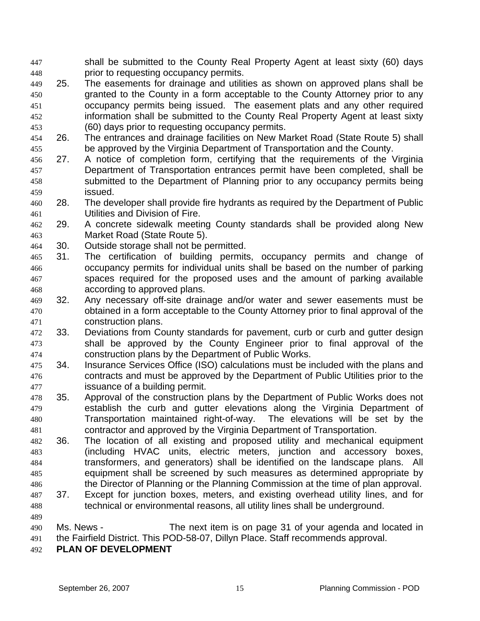shall be submitted to the County Real Property Agent at least sixty (60) days prior to requesting occupancy permits. 447 448

- 449 450 451 452 453 25. The easements for drainage and utilities as shown on approved plans shall be granted to the County in a form acceptable to the County Attorney prior to any occupancy permits being issued. The easement plats and any other required information shall be submitted to the County Real Property Agent at least sixty (60) days prior to requesting occupancy permits.
- 454 455 26. The entrances and drainage facilities on New Market Road (State Route 5) shall be approved by the Virginia Department of Transportation and the County.
- 456 457 458 459 27. A notice of completion form, certifying that the requirements of the Virginia Department of Transportation entrances permit have been completed, shall be submitted to the Department of Planning prior to any occupancy permits being issued.
- 460 461 28. The developer shall provide fire hydrants as required by the Department of Public Utilities and Division of Fire.
- 462 463 29. A concrete sidewalk meeting County standards shall be provided along New Market Road (State Route 5).
- 464 30. Outside storage shall not be permitted.
- 465 466 467 468 31. The certification of building permits, occupancy permits and change of occupancy permits for individual units shall be based on the number of parking spaces required for the proposed uses and the amount of parking available according to approved plans.
- 469 470 471 32. Any necessary off-site drainage and/or water and sewer easements must be obtained in a form acceptable to the County Attorney prior to final approval of the construction plans.
- 472 473 474 33. Deviations from County standards for pavement, curb or curb and gutter design shall be approved by the County Engineer prior to final approval of the construction plans by the Department of Public Works.
- 475 476 477 34. Insurance Services Office (ISO) calculations must be included with the plans and contracts and must be approved by the Department of Public Utilities prior to the issuance of a building permit.
- 478 479 480 481 35. Approval of the construction plans by the Department of Public Works does not establish the curb and gutter elevations along the Virginia Department of Transportation maintained right-of-way. The elevations will be set by the contractor and approved by the Virginia Department of Transportation.
- 482 483 484 485 486 36. The location of all existing and proposed utility and mechanical equipment (including HVAC units, electric meters, junction and accessory boxes, transformers, and generators) shall be identified on the landscape plans. All equipment shall be screened by such measures as determined appropriate by the Director of Planning or the Planning Commission at the time of plan approval.
- 487 488 37. Except for junction boxes, meters, and existing overhead utility lines, and for technical or environmental reasons, all utility lines shall be underground.
- 489 490 491 Ms. News - The next item is on page 31 of your agenda and located in the Fairfield District. This POD-58-07, Dillyn Place. Staff recommends approval.
- 492 **PLAN OF DEVELOPMENT**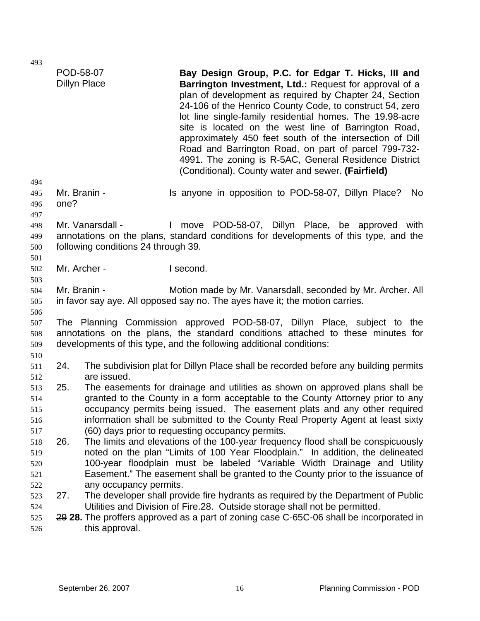| 493                      | POD-58-07            |                                                         | Bay Design Group, P.C. for Edgar T. Hicks, III and                                                                                                                                                                                                                                                                                                                                                                                                                                                                                  |
|--------------------------|----------------------|---------------------------------------------------------|-------------------------------------------------------------------------------------------------------------------------------------------------------------------------------------------------------------------------------------------------------------------------------------------------------------------------------------------------------------------------------------------------------------------------------------------------------------------------------------------------------------------------------------|
| 494                      | <b>Dillyn Place</b>  |                                                         | Barrington Investment, Ltd.: Request for approval of a<br>plan of development as required by Chapter 24, Section<br>24-106 of the Henrico County Code, to construct 54, zero<br>lot line single-family residential homes. The 19.98-acre<br>site is located on the west line of Barrington Road,<br>approximately 450 feet south of the intersection of Dill<br>Road and Barrington Road, on part of parcel 799-732-<br>4991. The zoning is R-5AC, General Residence District<br>(Conditional). County water and sewer. (Fairfield) |
| 495<br>496<br>497        | Mr. Branin -<br>one? |                                                         | Is anyone in opposition to POD-58-07, Dillyn Place?<br>No                                                                                                                                                                                                                                                                                                                                                                                                                                                                           |
| 498<br>499<br>500<br>501 |                      | Mr. Vanarsdall -<br>following conditions 24 through 39. | move POD-58-07, Dillyn Place, be approved with<br>$\mathbf{L}$<br>annotations on the plans, standard conditions for developments of this type, and the                                                                                                                                                                                                                                                                                                                                                                              |
| 502                      | Mr. Archer -         |                                                         | I second.                                                                                                                                                                                                                                                                                                                                                                                                                                                                                                                           |
| 503<br>504<br>505<br>506 | Mr. Branin -         |                                                         | Motion made by Mr. Vanarsdall, seconded by Mr. Archer. All<br>in favor say aye. All opposed say no. The ayes have it; the motion carries.                                                                                                                                                                                                                                                                                                                                                                                           |
| 507<br>508<br>509        |                      |                                                         | The Planning Commission approved POD-58-07, Dillyn Place, subject to the<br>annotations on the plans, the standard conditions attached to these minutes for<br>developments of this type, and the following additional conditions:                                                                                                                                                                                                                                                                                                  |
| 510<br>511               | 24.                  | are issued.                                             | The subdivision plat for Dillyn Place shall be recorded before any building permits                                                                                                                                                                                                                                                                                                                                                                                                                                                 |
| 512<br>513<br>514<br>515 | 25.                  |                                                         | The easements for drainage and utilities as shown on approved plans shall be<br>granted to the County in a form acceptable to the County Attorney prior to any<br>occupancy permits being issued. The easement plats and any other required                                                                                                                                                                                                                                                                                         |
| 516<br>517               |                      |                                                         | information shall be submitted to the County Real Property Agent at least sixty<br>(60) days prior to requesting occupancy permits.                                                                                                                                                                                                                                                                                                                                                                                                 |
| 518<br>519<br>520<br>521 | 26.                  |                                                         | The limits and elevations of the 100-year frequency flood shall be conspicuously<br>noted on the plan "Limits of 100 Year Floodplain." In addition, the delineated<br>100-year floodplain must be labeled "Variable Width Drainage and Utility<br>Easement." The easement shall be granted to the County prior to the issuance of                                                                                                                                                                                                   |
| 522<br>523<br>524        | 27.                  | any occupancy permits.                                  | The developer shall provide fire hydrants as required by the Department of Public<br>Utilities and Division of Fire.28. Outside storage shall not be permitted.                                                                                                                                                                                                                                                                                                                                                                     |
| 525<br>526               |                      | this approval.                                          | 29 28. The proffers approved as a part of zoning case C-65C-06 shall be incorporated in                                                                                                                                                                                                                                                                                                                                                                                                                                             |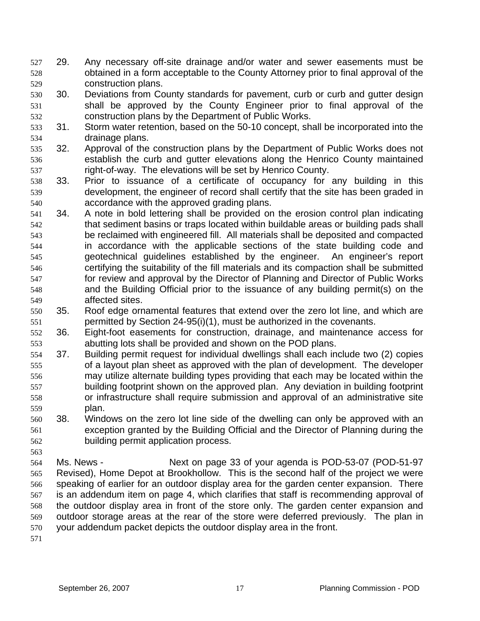- 29. Any necessary off-site drainage and/or water and sewer easements must be obtained in a form acceptable to the County Attorney prior to final approval of the construction plans. 527 528 529
- 530 531 532 30. Deviations from County standards for pavement, curb or curb and gutter design shall be approved by the County Engineer prior to final approval of the construction plans by the Department of Public Works.
- 533 534 31. Storm water retention, based on the 50-10 concept, shall be incorporated into the drainage plans.
- 535 536 537 32. Approval of the construction plans by the Department of Public Works does not establish the curb and gutter elevations along the Henrico County maintained right-of-way. The elevations will be set by Henrico County.
- 538 539 540 33. Prior to issuance of a certificate of occupancy for any building in this development, the engineer of record shall certify that the site has been graded in accordance with the approved grading plans.
- 541 542 543 544 545 546 547 548 549 34. A note in bold lettering shall be provided on the erosion control plan indicating that sediment basins or traps located within buildable areas or building pads shall be reclaimed with engineered fill. All materials shall be deposited and compacted in accordance with the applicable sections of the state building code and geotechnical guidelines established by the engineer. An engineer's report certifying the suitability of the fill materials and its compaction shall be submitted for review and approval by the Director of Planning and Director of Public Works and the Building Official prior to the issuance of any building permit(s) on the affected sites.
- 550 551 35. Roof edge ornamental features that extend over the zero lot line, and which are permitted by Section 24-95(i)(1), must be authorized in the covenants.
- 552 553 36. Eight-foot easements for construction, drainage, and maintenance access for abutting lots shall be provided and shown on the POD plans.
- 554 555 556 557 558 559 37. Building permit request for individual dwellings shall each include two (2) copies of a layout plan sheet as approved with the plan of development. The developer may utilize alternate building types providing that each may be located within the building footprint shown on the approved plan. Any deviation in building footprint or infrastructure shall require submission and approval of an administrative site plan.
- 560 561 562 38. Windows on the zero lot line side of the dwelling can only be approved with an exception granted by the Building Official and the Director of Planning during the building permit application process.
- 564 565 566 567 568 569 570 Ms. News - Next on page 33 of your agenda is POD-53-07 (POD-51-97 Revised), Home Depot at Brookhollow. This is the second half of the project we were speaking of earlier for an outdoor display area for the garden center expansion. There is an addendum item on page 4, which clarifies that staff is recommending approval of the outdoor display area in front of the store only. The garden center expansion and outdoor storage areas at the rear of the store were deferred previously. The plan in your addendum packet depicts the outdoor display area in the front.
- 571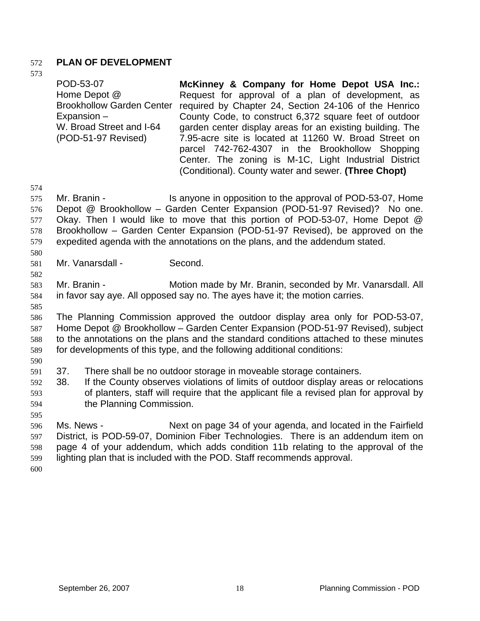## 572 **PLAN OF DEVELOPMENT**

573

| POD-53-07<br>Home Depot @<br><b>Brookhollow Garden Center</b><br>$Expansion -$<br>W. Broad Street and I-64<br>(POD-51-97 Revised) | McKinney & Company for Home Depot USA Inc.:<br>Request for approval of a plan of development, as<br>required by Chapter 24, Section 24-106 of the Henrico<br>County Code, to construct 6,372 square feet of outdoor<br>garden center display areas for an existing building. The<br>7.95-acre site is located at 11260 W. Broad Street on<br>parcel 742-762-4307 in the Brookhollow Shopping<br>Center. The zoning is M-1C, Light Industrial District |
|-----------------------------------------------------------------------------------------------------------------------------------|-------------------------------------------------------------------------------------------------------------------------------------------------------------------------------------------------------------------------------------------------------------------------------------------------------------------------------------------------------------------------------------------------------------------------------------------------------|
|                                                                                                                                   | (Conditional). County water and sewer. (Three Chopt)                                                                                                                                                                                                                                                                                                                                                                                                  |

574

575 576 577 578 579 Mr. Branin - Is anyone in opposition to the approval of POD-53-07, Home Depot @ Brookhollow – Garden Center Expansion (POD-51-97 Revised)? No one. Okay. Then I would like to move that this portion of POD-53-07, Home Depot @ Brookhollow – Garden Center Expansion (POD-51-97 Revised), be approved on the expedited agenda with the annotations on the plans, and the addendum stated.

580 581

582

Mr. Vanarsdall - Second.

583 584 Mr. Branin - **Motion made by Mr. Branin, seconded by Mr. Vanarsdall. All** in favor say aye. All opposed say no. The ayes have it; the motion carries.

585

586 587 588 589 590 The Planning Commission approved the outdoor display area only for POD-53-07, Home Depot @ Brookhollow – Garden Center Expansion (POD-51-97 Revised), subject to the annotations on the plans and the standard conditions attached to these minutes for developments of this type, and the following additional conditions:

- 591 37. There shall be no outdoor storage in moveable storage containers.
- 592 593 594 38. If the County observes violations of limits of outdoor display areas or relocations of planters, staff will require that the applicant file a revised plan for approval by the Planning Commission.

596 597 598 599 Ms. News - Next on page 34 of your agenda, and located in the Fairfield District, is POD-59-07, Dominion Fiber Technologies. There is an addendum item on page 4 of your addendum, which adds condition 11b relating to the approval of the lighting plan that is included with the POD. Staff recommends approval.

600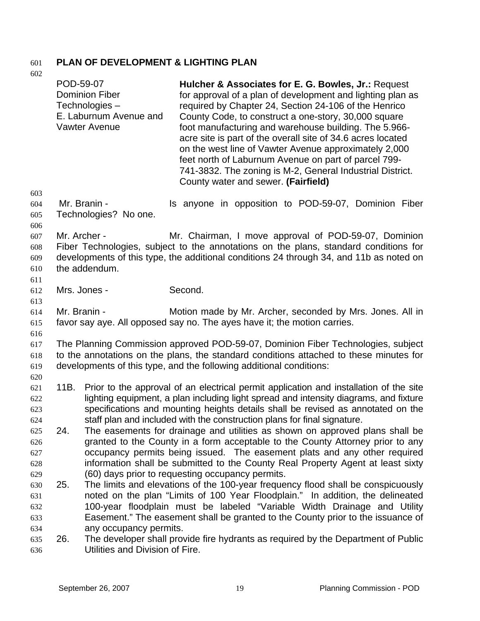# 601 **PLAN OF DEVELOPMENT & LIGHTING PLAN**

| 602                             |              |                                                                                          |                                                                                                                                                                                                                                                                                                                                                                                                                                                                                                                                                                                 |
|---------------------------------|--------------|------------------------------------------------------------------------------------------|---------------------------------------------------------------------------------------------------------------------------------------------------------------------------------------------------------------------------------------------------------------------------------------------------------------------------------------------------------------------------------------------------------------------------------------------------------------------------------------------------------------------------------------------------------------------------------|
|                                 | POD-59-07    | <b>Dominion Fiber</b><br>Technologies-<br>E. Laburnum Avenue and<br><b>Vawter Avenue</b> | Hulcher & Associates for E. G. Bowles, Jr.: Request<br>for approval of a plan of development and lighting plan as<br>required by Chapter 24, Section 24-106 of the Henrico<br>County Code, to construct a one-story, 30,000 square<br>foot manufacturing and warehouse building. The 5.966-<br>acre site is part of the overall site of 34.6 acres located<br>on the west line of Vawter Avenue approximately 2,000<br>feet north of Laburnum Avenue on part of parcel 799-<br>741-3832. The zoning is M-2, General Industrial District.<br>County water and sewer. (Fairfield) |
| 603<br>604<br>605<br>606        |              | Mr. Branin -<br>Technologies? No one.                                                    | Is anyone in opposition to POD-59-07, Dominion Fiber                                                                                                                                                                                                                                                                                                                                                                                                                                                                                                                            |
| 607<br>608<br>609<br>610<br>611 | Mr. Archer - | the addendum.                                                                            | Mr. Chairman, I move approval of POD-59-07, Dominion<br>Fiber Technologies, subject to the annotations on the plans, standard conditions for<br>developments of this type, the additional conditions 24 through 34, and 11b as noted on                                                                                                                                                                                                                                                                                                                                         |
| 612                             | Mrs. Jones - |                                                                                          | Second.                                                                                                                                                                                                                                                                                                                                                                                                                                                                                                                                                                         |
| 613<br>614<br>615               | Mr. Branin - |                                                                                          | Motion made by Mr. Archer, seconded by Mrs. Jones. All in<br>favor say aye. All opposed say no. The ayes have it; the motion carries.                                                                                                                                                                                                                                                                                                                                                                                                                                           |
| 616<br>617<br>618<br>619        |              |                                                                                          | The Planning Commission approved POD-59-07, Dominion Fiber Technologies, subject<br>to the annotations on the plans, the standard conditions attached to these minutes for<br>developments of this type, and the following additional conditions:                                                                                                                                                                                                                                                                                                                               |
| 620<br>621<br>622<br>623<br>624 |              |                                                                                          | 11B. Prior to the approval of an electrical permit application and installation of the site<br>lighting equipment, a plan including light spread and intensity diagrams, and fixture<br>specifications and mounting heights details shall be revised as annotated on the<br>staff plan and included with the construction plans for final signature.                                                                                                                                                                                                                            |
| 625<br>626<br>627<br>628        | 24.          |                                                                                          | The easements for drainage and utilities as shown on approved plans shall be<br>granted to the County in a form acceptable to the County Attorney prior to any<br>occupancy permits being issued. The easement plats and any other required<br>information shall be submitted to the County Real Property Agent at least sixty                                                                                                                                                                                                                                                  |
| 629<br>630<br>631<br>632<br>633 | 25.          |                                                                                          | (60) days prior to requesting occupancy permits.<br>The limits and elevations of the 100-year frequency flood shall be conspicuously<br>noted on the plan "Limits of 100 Year Floodplain." In addition, the delineated<br>100-year floodplain must be labeled "Variable Width Drainage and Utility<br>Easement." The easement shall be granted to the County prior to the issuance of                                                                                                                                                                                           |
| 634<br>635<br>636               | 26.          | any occupancy permits.<br>Utilities and Division of Fire.                                | The developer shall provide fire hydrants as required by the Department of Public                                                                                                                                                                                                                                                                                                                                                                                                                                                                                               |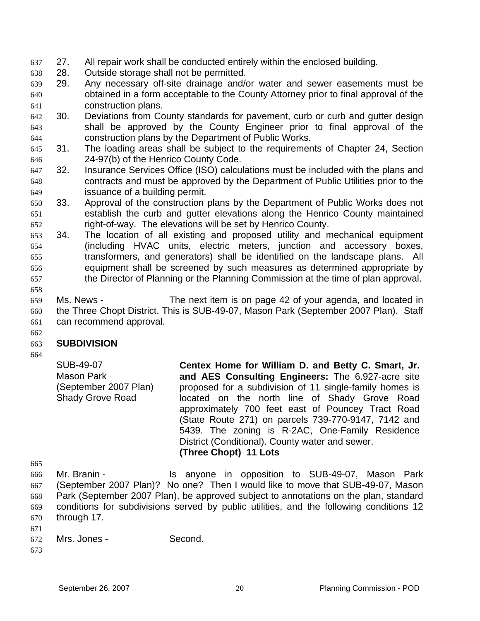- 637 27. All repair work shall be conducted entirely within the enclosed building.
- 638 28. Outside storage shall not be permitted.
- 639 640 641 29. Any necessary off-site drainage and/or water and sewer easements must be obtained in a form acceptable to the County Attorney prior to final approval of the construction plans.
- 642 643 644 30. Deviations from County standards for pavement, curb or curb and gutter design shall be approved by the County Engineer prior to final approval of the construction plans by the Department of Public Works.
- 645 646 31. The loading areas shall be subject to the requirements of Chapter 24, Section 24-97(b) of the Henrico County Code.
- 647 648 649 32. Insurance Services Office (ISO) calculations must be included with the plans and contracts and must be approved by the Department of Public Utilities prior to the issuance of a building permit.
- 650 651 652 33. Approval of the construction plans by the Department of Public Works does not establish the curb and gutter elevations along the Henrico County maintained right-of-way. The elevations will be set by Henrico County.
- 653 654 655 656 657 34. The location of all existing and proposed utility and mechanical equipment (including HVAC units, electric meters, junction and accessory boxes, transformers, and generators) shall be identified on the landscape plans. All equipment shall be screened by such measures as determined appropriate by the Director of Planning or the Planning Commission at the time of plan approval.
- 659 660 661 Ms. News - The next item is on page 42 of your agenda, and located in the Three Chopt District. This is SUB-49-07, Mason Park (September 2007 Plan). Staff can recommend approval.
- 662

658

#### 663 **SUBDIVISION**

664

SUB-49-07 Mason Park (September 2007 Plan) Shady Grove Road

**Centex Home for William D. and Betty C. Smart, Jr. and AES Consulting Engineers:** The 6.927-acre site proposed for a subdivision of 11 single-family homes is located on the north line of Shady Grove Road approximately 700 feet east of Pouncey Tract Road (State Route 271) on parcels 739-770-9147, 7142 and 5439. The zoning is R-2AC, One-Family Residence District (Conditional). County water and sewer. **(Three Chopt) 11 Lots**

665

666 667 668 669 670 671 Mr. Branin - The Supposition to SUB-49-07, Mason Park (September 2007 Plan)? No one? Then I would like to move that SUB-49-07, Mason Park (September 2007 Plan), be approved subject to annotations on the plan, standard conditions for subdivisions served by public utilities, and the following conditions 12 through 17.

- 672 Mrs. Jones - Second.
- 673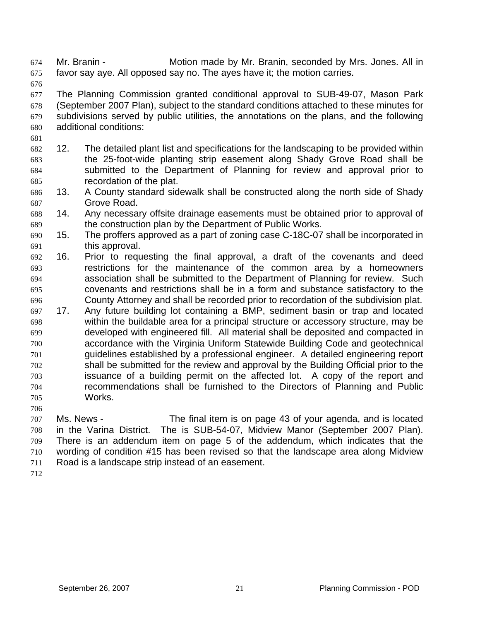Mr. Branin - Motion made by Mr. Branin, seconded by Mrs. Jones. All in favor say aye. All opposed say no. The ayes have it; the motion carries. 674 675

676

677 678 679 680 The Planning Commission granted conditional approval to SUB-49-07, Mason Park (September 2007 Plan), subject to the standard conditions attached to these minutes for subdivisions served by public utilities, the annotations on the plans, and the following additional conditions:

- 681
- 682 683 684 685 12. The detailed plant list and specifications for the landscaping to be provided within the 25-foot-wide planting strip easement along Shady Grove Road shall be submitted to the Department of Planning for review and approval prior to recordation of the plat.
- 686 687 13. A County standard sidewalk shall be constructed along the north side of Shady Grove Road.
- 688 689 14. Any necessary offsite drainage easements must be obtained prior to approval of the construction plan by the Department of Public Works.
- 690 691 15. The proffers approved as a part of zoning case C-18C-07 shall be incorporated in this approval.
- 692 693 694 695 696 16. Prior to requesting the final approval, a draft of the covenants and deed restrictions for the maintenance of the common area by a homeowners association shall be submitted to the Department of Planning for review. Such covenants and restrictions shall be in a form and substance satisfactory to the County Attorney and shall be recorded prior to recordation of the subdivision plat.
- 697 698 699 700 701 702 703 704 705 17. Any future building lot containing a BMP, sediment basin or trap and located within the buildable area for a principal structure or accessory structure, may be developed with engineered fill. All material shall be deposited and compacted in accordance with the Virginia Uniform Statewide Building Code and geotechnical guidelines established by a professional engineer. A detailed engineering report shall be submitted for the review and approval by the Building Official prior to the issuance of a building permit on the affected lot. A copy of the report and recommendations shall be furnished to the Directors of Planning and Public Works.
- 706

707 708 709 710 711 Ms. News - The final item is on page 43 of your agenda, and is located in the Varina District. The is SUB-54-07, Midview Manor (September 2007 Plan). There is an addendum item on page 5 of the addendum, which indicates that the wording of condition #15 has been revised so that the landscape area along Midview Road is a landscape strip instead of an easement.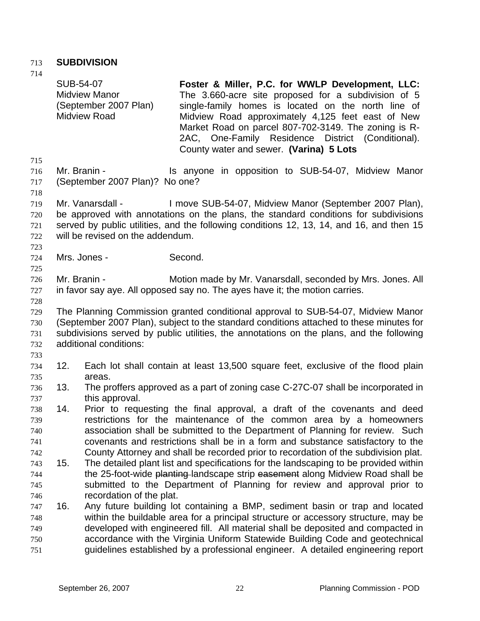## 713 **SUBDIVISION**

| 714        |                  |                                                                      |                                                                                                                                                                                                                                                                                                                                                                             |
|------------|------------------|----------------------------------------------------------------------|-----------------------------------------------------------------------------------------------------------------------------------------------------------------------------------------------------------------------------------------------------------------------------------------------------------------------------------------------------------------------------|
|            | <b>SUB-54-07</b> | <b>Midview Manor</b><br>(September 2007 Plan)<br><b>Midview Road</b> | Foster & Miller, P.C. for WWLP Development, LLC:<br>The 3.660-acre site proposed for a subdivision of 5<br>single-family homes is located on the north line of<br>Midview Road approximately 4,125 feet east of New<br>Market Road on parcel 807-702-3149. The zoning is R-<br>2AC, One-Family Residence District (Conditional).<br>County water and sewer. (Varina) 5 Lots |
| 715        |                  |                                                                      |                                                                                                                                                                                                                                                                                                                                                                             |
| 716        | Mr. Branin -     |                                                                      | Is anyone in opposition to SUB-54-07, Midview Manor                                                                                                                                                                                                                                                                                                                         |
| 717        |                  | (September 2007 Plan)? No one?                                       |                                                                                                                                                                                                                                                                                                                                                                             |
| 718        |                  |                                                                      |                                                                                                                                                                                                                                                                                                                                                                             |
| 719        |                  | Mr. Vanarsdall -                                                     | I move SUB-54-07, Midview Manor (September 2007 Plan),                                                                                                                                                                                                                                                                                                                      |
| 720<br>721 |                  |                                                                      | be approved with annotations on the plans, the standard conditions for subdivisions<br>served by public utilities, and the following conditions 12, 13, 14, and 16, and then 15                                                                                                                                                                                             |
| 722        |                  | will be revised on the addendum.                                     |                                                                                                                                                                                                                                                                                                                                                                             |
| 723        |                  |                                                                      |                                                                                                                                                                                                                                                                                                                                                                             |
| 724        |                  | Mrs. Jones -                                                         | Second.                                                                                                                                                                                                                                                                                                                                                                     |
| 725        |                  |                                                                      |                                                                                                                                                                                                                                                                                                                                                                             |
| 726        | Mr. Branin -     |                                                                      | Motion made by Mr. Vanarsdall, seconded by Mrs. Jones. All                                                                                                                                                                                                                                                                                                                  |
| 727        |                  |                                                                      | in favor say aye. All opposed say no. The ayes have it; the motion carries.                                                                                                                                                                                                                                                                                                 |
| 728        |                  |                                                                      |                                                                                                                                                                                                                                                                                                                                                                             |
| 729        |                  |                                                                      | The Planning Commission granted conditional approval to SUB-54-07, Midview Manor                                                                                                                                                                                                                                                                                            |
| 730        |                  |                                                                      | (September 2007 Plan), subject to the standard conditions attached to these minutes for                                                                                                                                                                                                                                                                                     |
| 731        |                  |                                                                      | subdivisions served by public utilities, the annotations on the plans, and the following                                                                                                                                                                                                                                                                                    |
| 732        |                  | additional conditions:                                               |                                                                                                                                                                                                                                                                                                                                                                             |
| 733        |                  |                                                                      |                                                                                                                                                                                                                                                                                                                                                                             |
| 734        | 12.              |                                                                      | Each lot shall contain at least 13,500 square feet, exclusive of the flood plain                                                                                                                                                                                                                                                                                            |
| 735        |                  | areas.                                                               |                                                                                                                                                                                                                                                                                                                                                                             |
| 736        | 13.              |                                                                      | The proffers approved as a part of zoning case C-27C-07 shall be incorporated in                                                                                                                                                                                                                                                                                            |
| 737        |                  | this approval.                                                       |                                                                                                                                                                                                                                                                                                                                                                             |
| 738<br>739 | 14.              |                                                                      | Prior to requesting the final approval, a draft of the covenants and deed<br>restrictions for the maintenance of the common area by a homeowners                                                                                                                                                                                                                            |
| 740        |                  |                                                                      | association shall be submitted to the Department of Planning for review. Such                                                                                                                                                                                                                                                                                               |
| 741        |                  |                                                                      | covenants and restrictions shall be in a form and substance satisfactory to the                                                                                                                                                                                                                                                                                             |
| 742        |                  |                                                                      | County Attorney and shall be recorded prior to recordation of the subdivision plat.                                                                                                                                                                                                                                                                                         |
| 743        | 15.              |                                                                      | The detailed plant list and specifications for the landscaping to be provided within                                                                                                                                                                                                                                                                                        |
| 744        |                  |                                                                      | the 25-foot-wide planting-landscape strip easement along Midview Road shall be                                                                                                                                                                                                                                                                                              |
| 745        |                  |                                                                      | submitted to the Department of Planning for review and approval prior to                                                                                                                                                                                                                                                                                                    |
| 746        |                  | recordation of the plat.                                             |                                                                                                                                                                                                                                                                                                                                                                             |
| 747        | 16.              |                                                                      | Any future building lot containing a BMP, sediment basin or trap and located                                                                                                                                                                                                                                                                                                |
| 748        |                  |                                                                      | within the buildable area for a principal structure or accessory structure, may be                                                                                                                                                                                                                                                                                          |
| 749        |                  |                                                                      | developed with engineered fill. All material shall be deposited and compacted in                                                                                                                                                                                                                                                                                            |
| 750        |                  |                                                                      | accordance with the Virginia Uniform Statewide Building Code and geotechnical                                                                                                                                                                                                                                                                                               |
| 751        |                  |                                                                      | guidelines established by a professional engineer. A detailed engineering report                                                                                                                                                                                                                                                                                            |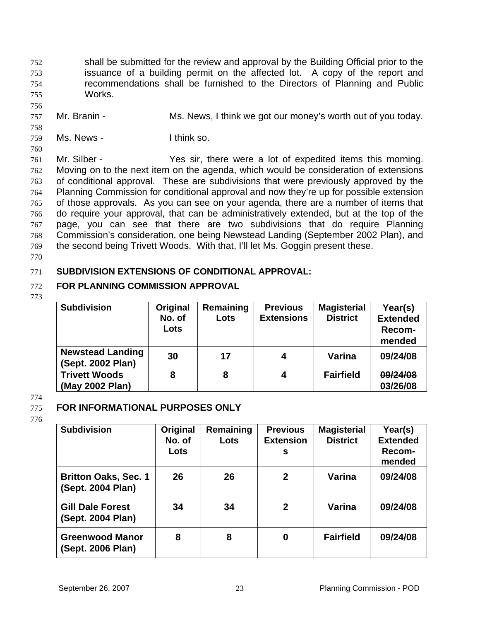shall be submitted for the review and approval by the Building Official prior to the issuance of a building permit on the affected lot. A copy of the report and recommendations shall be furnished to the Directors of Planning and Public Works. 752 753 754 755

- 757 Mr. Branin - Ms. News, I think we got our money's worth out of you today.
- 759 Ms. News - Think so.

760

756

758

761 762 763 764 765 766 767 768 769 Mr. Silber - The Yes sir, there were a lot of expedited items this morning. Moving on to the next item on the agenda, which would be consideration of extensions of conditional approval. These are subdivisions that were previously approved by the Planning Commission for conditional approval and now they're up for possible extension of those approvals. As you can see on your agenda, there are a number of items that do require your approval, that can be administratively extended, but at the top of the page, you can see that there are two subdivisions that do require Planning Commission's consideration, one being Newstead Landing (September 2002 Plan), and the second being Trivett Woods. With that, I'll let Ms. Goggin present these.

770

#### 771 **SUBDIVISION EXTENSIONS OF CONDITIONAL APPROVAL:**

#### 772 **FOR PLANNING COMMISSION APPROVAL**

773

| <b>Subdivision</b>      | Original | Remaining | <b>Previous</b>   | <b>Magisterial</b> | Year(s)         |
|-------------------------|----------|-----------|-------------------|--------------------|-----------------|
|                         | No. of   | Lots      | <b>Extensions</b> | <b>District</b>    | <b>Extended</b> |
|                         | Lots     |           |                   |                    | Recom-          |
|                         |          |           |                   |                    | mended          |
| <b>Newstead Landing</b> | 30       | 17        | 4                 | Varina             | 09/24/08        |
| (Sept. 2002 Plan)       |          |           |                   |                    |                 |
| <b>Trivett Woods</b>    | 8        | 8         | 4                 | <b>Fairfield</b>   | 09/24/08        |
| (May 2002 Plan)         |          |           |                   |                    | 03/26/08        |

## 774

## 775

## **FOR INFORMATIONAL PURPOSES ONLY**

| <b>Subdivision</b>                               | Original<br>No. of<br>Lots | Remaining<br>Lots | <b>Previous</b><br><b>Extension</b><br>s | <b>Magisterial</b><br><b>District</b> | Year(s)<br><b>Extended</b><br>Recom-<br>mended |
|--------------------------------------------------|----------------------------|-------------------|------------------------------------------|---------------------------------------|------------------------------------------------|
| <b>Britton Oaks, Sec. 1</b><br>(Sept. 2004 Plan) | 26                         | 26                | $\mathbf{2}$                             | Varina                                | 09/24/08                                       |
| <b>Gill Dale Forest</b><br>(Sept. 2004 Plan)     | 34                         | 34                | $\mathbf{2}$                             | Varina                                | 09/24/08                                       |
| <b>Greenwood Manor</b><br>(Sept. 2006 Plan)      | 8                          | 8                 | 0                                        | <b>Fairfield</b>                      | 09/24/08                                       |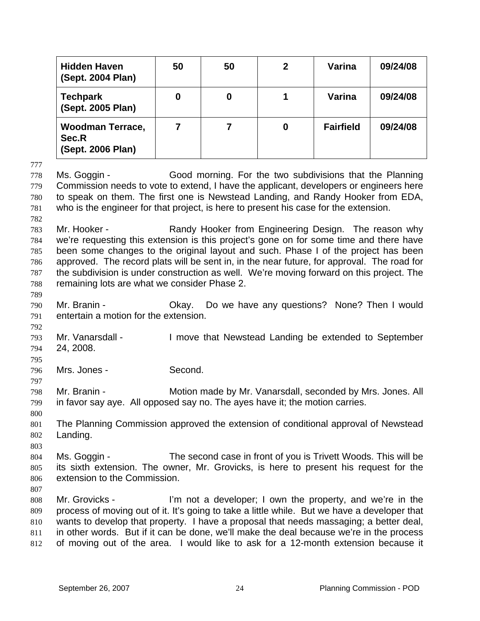|                                               | <b>Hidden Haven</b><br>(Sept. 2004 Plan)                                                                                                                                                                                                                                                                                                                                                                                                                                                       | 50               | 50             | $\boldsymbol{2}$                                               | Varina           | 09/24/08 |
|-----------------------------------------------|------------------------------------------------------------------------------------------------------------------------------------------------------------------------------------------------------------------------------------------------------------------------------------------------------------------------------------------------------------------------------------------------------------------------------------------------------------------------------------------------|------------------|----------------|----------------------------------------------------------------|------------------|----------|
|                                               | <b>Techpark</b><br>(Sept. 2005 Plan)                                                                                                                                                                                                                                                                                                                                                                                                                                                           | $\boldsymbol{0}$ | $\mathbf 0$    | 1                                                              | Varina           | 09/24/08 |
|                                               | <b>Woodman Terrace,</b><br>Sec.R<br>(Sept. 2006 Plan)                                                                                                                                                                                                                                                                                                                                                                                                                                          | $\overline{7}$   | $\overline{7}$ | $\boldsymbol{0}$                                               | <b>Fairfield</b> | 09/24/08 |
| 777<br>778<br>779<br>780<br>781<br>782        | Good morning. For the two subdivisions that the Planning<br>Ms. Goggin -<br>Commission needs to vote to extend, I have the applicant, developers or engineers here<br>to speak on them. The first one is Newstead Landing, and Randy Hooker from EDA,<br>who is the engineer for that project, is here to present his case for the extension.                                                                                                                                                  |                  |                |                                                                |                  |          |
| 783<br>784<br>785<br>786<br>787<br>788<br>789 | Randy Hooker from Engineering Design. The reason why<br>Mr. Hooker -<br>we're requesting this extension is this project's gone on for some time and there have<br>been some changes to the original layout and such. Phase I of the project has been<br>approved. The record plats will be sent in, in the near future, for approval. The road for<br>the subdivision is under construction as well. We're moving forward on this project. The<br>remaining lots are what we consider Phase 2. |                  |                |                                                                |                  |          |
| 790<br>791<br>792                             | Mr. Branin -<br>entertain a motion for the extension.                                                                                                                                                                                                                                                                                                                                                                                                                                          | Okay.            |                | Do we have any questions? None? Then I would                   |                  |          |
| 793<br>794<br>795                             | Mr. Vanarsdall -<br>24, 2008.                                                                                                                                                                                                                                                                                                                                                                                                                                                                  |                  |                | I move that Newstead Landing be extended to September          |                  |          |
| 796<br>797                                    | Mrs. Jones -                                                                                                                                                                                                                                                                                                                                                                                                                                                                                   | Second.          |                |                                                                |                  |          |
| 798<br>799<br>800                             | Mr. Branin -<br>in favor say aye. All opposed say no. The ayes have it; the motion carries.                                                                                                                                                                                                                                                                                                                                                                                                    |                  |                | Motion made by Mr. Vanarsdall, seconded by Mrs. Jones. All     |                  |          |
| 801<br>802<br>803                             | The Planning Commission approved the extension of conditional approval of Newstead<br>Landing.                                                                                                                                                                                                                                                                                                                                                                                                 |                  |                |                                                                |                  |          |
| 804<br>805<br>806<br>807                      | Ms. Goggin -<br>its sixth extension. The owner, Mr. Grovicks, is here to present his request for the<br>extension to the Commission.                                                                                                                                                                                                                                                                                                                                                           |                  |                | The second case in front of you is Trivett Woods. This will be |                  |          |
| 808<br>809<br>810<br>811<br>812               | Mr. Grovicks -<br>process of moving out of it. It's going to take a little while. But we have a developer that<br>wants to develop that property. I have a proposal that needs massaging; a better deal,<br>in other words. But if it can be done, we'll make the deal because we're in the process<br>of moving out of the area. I would like to ask for a 12-month extension because it                                                                                                      |                  |                | I'm not a developer; I own the property, and we're in the      |                  |          |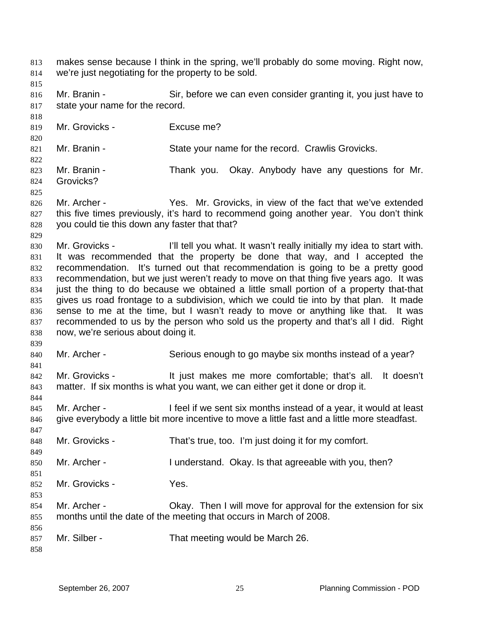makes sense because I think in the spring, we'll probably do some moving. Right now, we're just negotiating for the property to be sold. 813 814 815 816 817 818 819 820 821 822 823 824 825 826 827 828 829 830 831 832 833 834 835 836 837 838 839 840 841 842 843 844 845 846 847 848 849 850 851 852 853 854 855 856 857 858 Mr. Branin - Sir, before we can even consider granting it, you just have to state your name for the record. Mr. Grovicks - Fxcuse me? Mr. Branin - State your name for the record. Crawlis Grovicks. Mr. Branin - Thank you. Okay. Anybody have any questions for Mr. Grovicks? Mr. Archer - Yes. Mr. Grovicks, in view of the fact that we've extended this five times previously, it's hard to recommend going another year. You don't think you could tie this down any faster that that? Mr. Grovicks - I'll tell you what. It wasn't really initially my idea to start with. It was recommended that the property be done that way, and I accepted the recommendation. It's turned out that recommendation is going to be a pretty good recommendation, but we just weren't ready to move on that thing five years ago. It was just the thing to do because we obtained a little small portion of a property that-that gives us road frontage to a subdivision, which we could tie into by that plan. It made sense to me at the time, but I wasn't ready to move or anything like that. It was recommended to us by the person who sold us the property and that's all I did. Right now, we're serious about doing it. Mr. Archer - Serious enough to go maybe six months instead of a year? Mr. Grovicks - It just makes me more comfortable; that's all. It doesn't matter. If six months is what you want, we can either get it done or drop it. Mr. Archer - I feel if we sent six months instead of a year, it would at least give everybody a little bit more incentive to move a little fast and a little more steadfast. Mr. Grovicks - That's true, too. I'm just doing it for my comfort. Mr. Archer - I understand. Okay. Is that agreeable with you, then? Mr. Grovicks - Yes. Mr. Archer - Okay. Then I will move for approval for the extension for six months until the date of the meeting that occurs in March of 2008. Mr. Silber - That meeting would be March 26.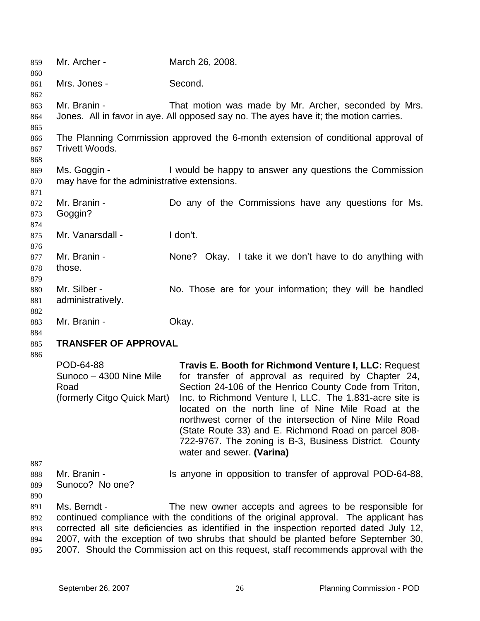| 859                                   | Mr. Archer -                                                                | March 26, 2008.                                                                                                                                                                                                                                                                                                                                                                                                                                                                                 |  |  |
|---------------------------------------|-----------------------------------------------------------------------------|-------------------------------------------------------------------------------------------------------------------------------------------------------------------------------------------------------------------------------------------------------------------------------------------------------------------------------------------------------------------------------------------------------------------------------------------------------------------------------------------------|--|--|
| 860<br>861<br>862                     | Mrs. Jones -                                                                | Second.                                                                                                                                                                                                                                                                                                                                                                                                                                                                                         |  |  |
| 863<br>864<br>865                     | Mr. Branin -                                                                | That motion was made by Mr. Archer, seconded by Mrs.<br>Jones. All in favor in aye. All opposed say no. The ayes have it; the motion carries.                                                                                                                                                                                                                                                                                                                                                   |  |  |
| 866<br>867<br>868                     | Trivett Woods.                                                              | The Planning Commission approved the 6-month extension of conditional approval of                                                                                                                                                                                                                                                                                                                                                                                                               |  |  |
| 869<br>870<br>871                     | Ms. Goggin -<br>may have for the administrative extensions.                 | I would be happy to answer any questions the Commission                                                                                                                                                                                                                                                                                                                                                                                                                                         |  |  |
| 872<br>873<br>874                     | Mr. Branin -<br>Goggin?                                                     | Do any of the Commissions have any questions for Ms.                                                                                                                                                                                                                                                                                                                                                                                                                                            |  |  |
| 875<br>876                            | Mr. Vanarsdall -                                                            | I don't.                                                                                                                                                                                                                                                                                                                                                                                                                                                                                        |  |  |
| 877<br>878<br>879                     | Mr. Branin -<br>those.                                                      | None? Okay. I take it we don't have to do anything with                                                                                                                                                                                                                                                                                                                                                                                                                                         |  |  |
| 880<br>881<br>882                     | Mr. Silber -<br>administratively.                                           | No. Those are for your information; they will be handled                                                                                                                                                                                                                                                                                                                                                                                                                                        |  |  |
| 883<br>884                            | Mr. Branin -                                                                | Okay.                                                                                                                                                                                                                                                                                                                                                                                                                                                                                           |  |  |
| 885                                   | <b>TRANSFER OF APPROVAL</b>                                                 |                                                                                                                                                                                                                                                                                                                                                                                                                                                                                                 |  |  |
| 886                                   | POD-64-88<br>Sunoco - 4300 Nine Mile<br>Road<br>(formerly Citgo Quick Mart) | Travis E. Booth for Richmond Venture I, LLC: Request<br>for transfer of approval as required by Chapter 24,<br>Section 24-106 of the Henrico County Code from Triton,<br>Inc. to Richmond Venture I, LLC. The 1.831-acre site is<br>located on the north line of Nine Mile Road at the<br>northwest corner of the intersection of Nine Mile Road<br>(State Route 33) and E. Richmond Road on parcel 808-<br>722-9767. The zoning is B-3, Business District. County<br>water and sewer. (Varina) |  |  |
| 887<br>888<br>889                     | Mr. Branin -<br>Sunoco? No one?                                             | Is anyone in opposition to transfer of approval POD-64-88,                                                                                                                                                                                                                                                                                                                                                                                                                                      |  |  |
| 890<br>891<br>892<br>893<br>894<br>OC | Ms. Berndt -                                                                | The new owner accepts and agrees to be responsible for<br>continued compliance with the conditions of the original approval. The applicant has<br>corrected all site deficiencies as identified in the inspection reported dated July 12,<br>2007, with the exception of two shrubs that should be planted before September 30,<br>2007 Chauld the Commission act on this request staff resemmends enprovel with the                                                                            |  |  |

895 2007. Should the Commission act on this request, staff recommends approval with the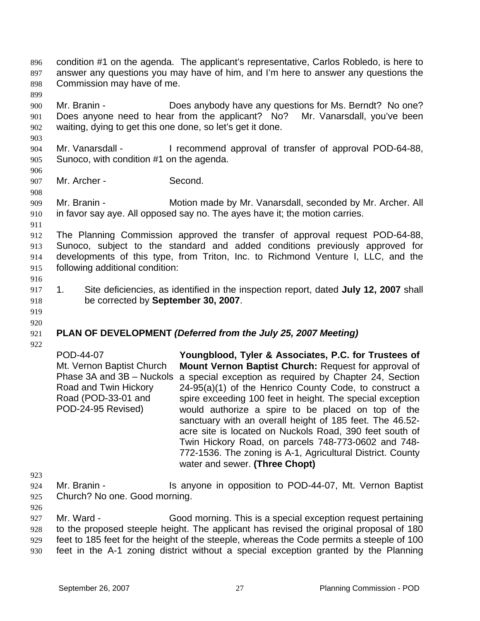- condition #1 on the agenda. The applicant's representative, Carlos Robledo, is here to answer any questions you may have of him, and I'm here to answer any questions the Commission may have of me. 896 897 898
- 900 901 902 Mr. Branin - Does anybody have any questions for Ms. Berndt? No one? Does anyone need to hear from the applicant? No? Mr. Vanarsdall, you've been waiting, dying to get this one done, so let's get it done.
- 904 905 Mr. Vanarsdall - I recommend approval of transfer of approval POD-64-88, Sunoco, with condition #1 on the agenda.
- 906 907

908

903

899

Mr. Archer - Second.

909 910 Mr. Branin - **Motion made by Mr. Vanarsdall, seconded by Mr. Archer. All** in favor say aye. All opposed say no. The ayes have it; the motion carries.

911

912 913 914 915 The Planning Commission approved the transfer of approval request POD-64-88, Sunoco, subject to the standard and added conditions previously approved for developments of this type, from Triton, Inc. to Richmond Venture I, LLC, and the following additional condition:

916

917 918 1. Site deficiencies, as identified in the inspection report, dated **July 12, 2007** shall be corrected by **September 30, 2007**.

919 920

# **PLAN OF DEVELOPMENT** *(Deferred from the July 25, 2007 Meeting)*

921 922

POD-44-07 Mt. Vernon Baptist Church Phase 3A and 3B - Nuckols a special exception as required by Chapter 24, Section Road and Twin Hickory Road (POD-33-01 and POD-24-95 Revised) **Youngblood, Tyler & Associates, P.C. for Trustees of Mount Vernon Baptist Church:** Request for approval of 24-95(a)(1) of the Henrico County Code, to construct a spire exceeding 100 feet in height. The special exception would authorize a spire to be placed on top of the sanctuary with an overall height of 185 feet. The 46.52 acre site is located on Nuckols Road, 390 feet south of Twin Hickory Road, on parcels 748-773-0602 and 748- 772-1536. The zoning is A-1, Agricultural District. County water and sewer. **(Three Chopt)** 

- 923
- 924 925 Mr. Branin - The Is anyone in opposition to POD-44-07, Mt. Vernon Baptist Church? No one. Good morning.
- 926

927 928 929 930 Mr. Ward - Good morning. This is a special exception request pertaining to the proposed steeple height. The applicant has revised the original proposal of 180 feet to 185 feet for the height of the steeple, whereas the Code permits a steeple of 100 feet in the A-1 zoning district without a special exception granted by the Planning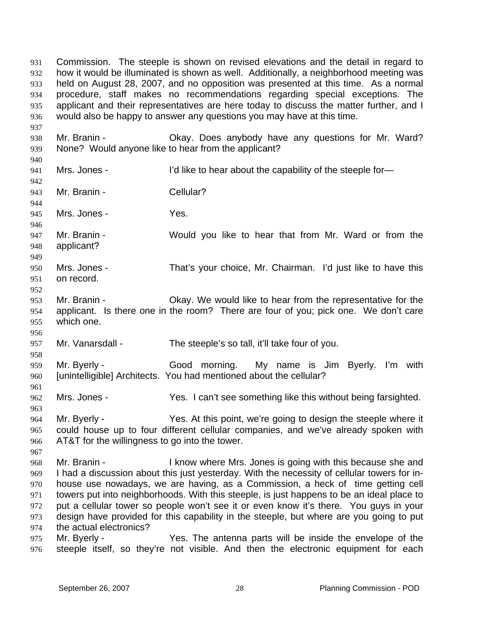Commission. The steeple is shown on revised elevations and the detail in regard to how it would be illuminated is shown as well. Additionally, a neighborhood meeting was held on August 28, 2007, and no opposition was presented at this time. As a normal procedure, staff makes no recommendations regarding special exceptions. The applicant and their representatives are here today to discuss the matter further, and I would also be happy to answer any questions you may have at this time. 931 932 933 934 935 936

938 939 Mr. Branin - Ckay. Does anybody have any questions for Mr. Ward? None? Would anyone like to hear from the applicant?

940 941

942

944

956

961

967

937

Mrs. Jones - I'd like to hear about the capability of the steeple for-

943 Mr. Branin - Cellular?

945 Mrs. Jones - Yes.

946 947 948 Mr. Branin - Would you like to hear that from Mr. Ward or from the applicant?

- 949 950 951 Mrs. Jones - That's your choice, Mr. Chairman. I'd just like to have this on record.
- 952 953 954 955 Mr. Branin - Okay. We would like to hear from the representative for the applicant. Is there one in the room? There are four of you; pick one. We don't care which one.

957 Mr. Vanarsdall - The steeple's so tall, it'll take four of you.

958 959 960 Mr. Byerly - Good morning. My name is Jim Byerly. I'm with [unintelligible] Architects. You had mentioned about the cellular?

962 Mrs. Jones - Yes. I can't see something like this without being farsighted.

963 964 965 966 Mr. Byerly - Yes. At this point, we're going to design the steeple where it could house up to four different cellular companies, and we've already spoken with AT&T for the willingness to go into the tower.

968 969 970 971 972 973 974 Mr. Branin - I know where Mrs. Jones is going with this because she and I had a discussion about this just yesterday. With the necessity of cellular towers for inhouse use nowadays, we are having, as a Commission, a heck of time getting cell towers put into neighborhoods. With this steeple, is just happens to be an ideal place to put a cellular tower so people won't see it or even know it's there. You guys in your design have provided for this capability in the steeple, but where are you going to put the actual electronics?

975 976 Mr. Byerly - Yes. The antenna parts will be inside the envelope of the steeple itself, so they're not visible. And then the electronic equipment for each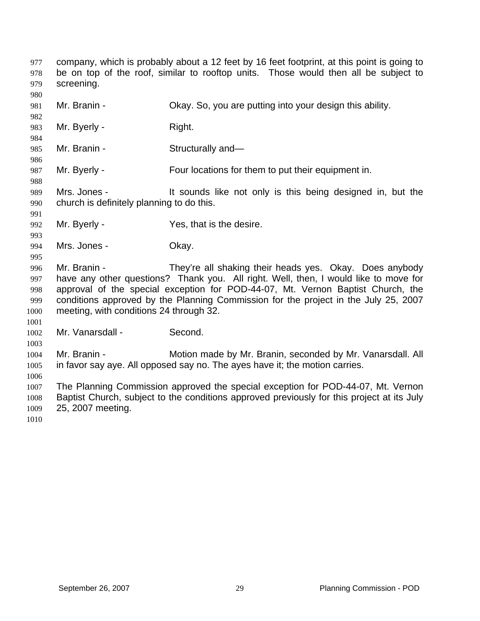company, which is probably about a 12 feet by 16 feet footprint, at this point is going to be on top of the roof, similar to rooftop units. Those would then all be subject to screening. 977 978 979

- 981 Mr. Branin - Ckay. So, you are putting into your design this ability.
- 983 Mr. Byerly - Right.
- 985 Mr. Branin - Structurally and—
- 987 Mr. Byerly - Four locations for them to put their equipment in.

989 990 Mrs. Jones - It sounds like not only is this being designed in, but the church is definitely planning to do this.

- 992 Mr. Byerly - Yes, that is the desire.
- 994 Mrs. Jones - Chay.

996 997 998 999 1000 Mr. Branin - They're all shaking their heads yes. Okay. Does anybody have any other questions? Thank you. All right. Well, then, I would like to move for approval of the special exception for POD-44-07, Mt. Vernon Baptist Church, the conditions approved by the Planning Commission for the project in the July 25, 2007 meeting, with conditions 24 through 32.

1002 Mr. Vanarsdall - Second.

1004 1005 Mr. Branin - **Motion made by Mr. Branin, seconded by Mr. Vanarsdall. All** in favor say aye. All opposed say no. The ayes have it; the motion carries.

1007 1008 1009 The Planning Commission approved the special exception for POD-44-07, Mt. Vernon Baptist Church, subject to the conditions approved previously for this project at its July 25, 2007 meeting.

1010

980

982

984

986

988

991

993

995

1001

1003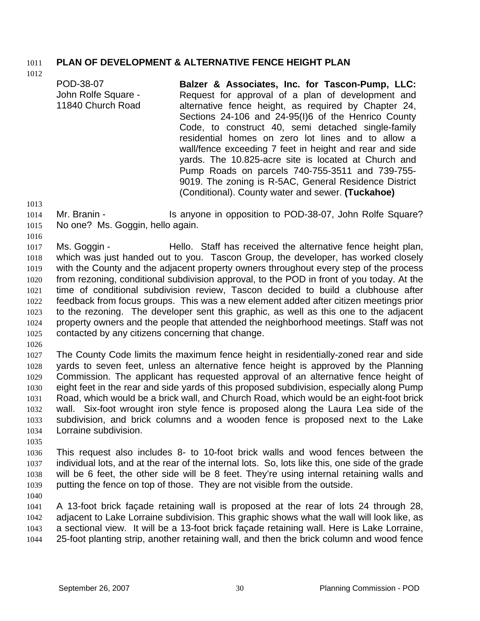## 1011 **PLAN OF DEVELOPMENT & ALTERNATIVE FENCE HEIGHT PLAN**

1012

| POD-38-07<br>John Rolfe Square -<br>11840 Church Road | Balzer & Associates, Inc. for Tascon-Pump, LLC:<br>Request for approval of a plan of development and<br>alternative fence height, as required by Chapter 24,<br>Sections 24-106 and 24-95(I)6 of the Henrico County<br>Code, to construct 40, semi detached single-family<br>residential homes on zero lot lines and to allow a<br>wall/fence exceeding 7 feet in height and rear and side<br>yards. The 10.825-acre site is located at Church and<br>Pump Roads on parcels 740-755-3511 and 739-755- |
|-------------------------------------------------------|-------------------------------------------------------------------------------------------------------------------------------------------------------------------------------------------------------------------------------------------------------------------------------------------------------------------------------------------------------------------------------------------------------------------------------------------------------------------------------------------------------|
|                                                       |                                                                                                                                                                                                                                                                                                                                                                                                                                                                                                       |
|                                                       | 9019. The zoning is R-5AC, General Residence District                                                                                                                                                                                                                                                                                                                                                                                                                                                 |
|                                                       | (Conditional). County water and sewer. (Tuckahoe)                                                                                                                                                                                                                                                                                                                                                                                                                                                     |

1013

1014 1015 Mr. Branin - Is anyone in opposition to POD-38-07, John Rolfe Square? No one? Ms. Goggin, hello again.

1016

1017 1018 1019 1020 1021 1022 1023 1024 1025 Ms. Goggin - Thello. Staff has received the alternative fence height plan, which was just handed out to you. Tascon Group, the developer, has worked closely with the County and the adjacent property owners throughout every step of the process from rezoning, conditional subdivision approval, to the POD in front of you today. At the time of conditional subdivision review, Tascon decided to build a clubhouse after feedback from focus groups. This was a new element added after citizen meetings prior to the rezoning. The developer sent this graphic, as well as this one to the adjacent property owners and the people that attended the neighborhood meetings. Staff was not contacted by any citizens concerning that change.

1026

1027 1028 1029 1030 1031 1032 1033 1034 The County Code limits the maximum fence height in residentially-zoned rear and side yards to seven feet, unless an alternative fence height is approved by the Planning Commission. The applicant has requested approval of an alternative fence height of eight feet in the rear and side yards of this proposed subdivision, especially along Pump Road, which would be a brick wall, and Church Road, which would be an eight-foot brick wall. Six-foot wrought iron style fence is proposed along the Laura Lea side of the subdivision, and brick columns and a wooden fence is proposed next to the Lake Lorraine subdivision.

1035

1036 1037 1038 1039 This request also includes 8- to 10-foot brick walls and wood fences between the individual lots, and at the rear of the internal lots. So, lots like this, one side of the grade will be 6 feet, the other side will be 8 feet. They're using internal retaining walls and putting the fence on top of those. They are not visible from the outside.

1040

1041 1042 1043 1044 A 13-foot brick façade retaining wall is proposed at the rear of lots 24 through 28, adjacent to Lake Lorraine subdivision. This graphic shows what the wall will look like, as a sectional view. It will be a 13-foot brick façade retaining wall. Here is Lake Lorraine, 25-foot planting strip, another retaining wall, and then the brick column and wood fence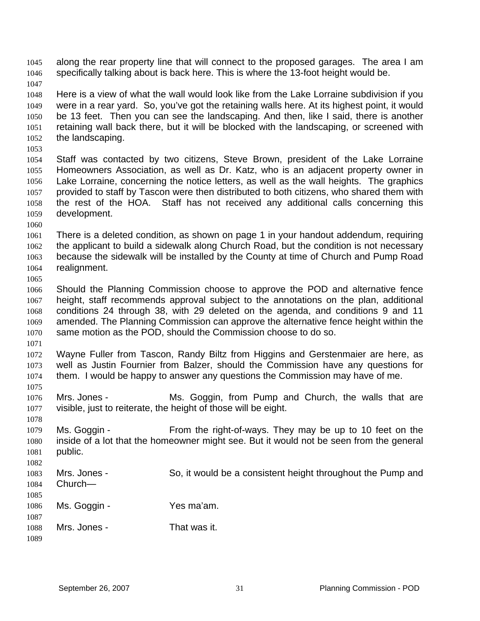1047 1048 1049 1050 1051 1052 1053 1054 1055 1056 1057 1058 1059 1060 1061 Here is a view of what the wall would look like from the Lake Lorraine subdivision if you were in a rear yard. So, you've got the retaining walls here. At its highest point, it would be 13 feet. Then you can see the landscaping. And then, like I said, there is another retaining wall back there, but it will be blocked with the landscaping, or screened with the landscaping. Staff was contacted by two citizens, Steve Brown, president of the Lake Lorraine Homeowners Association, as well as Dr. Katz, who is an adjacent property owner in Lake Lorraine, concerning the notice letters, as well as the wall heights. The graphics provided to staff by Tascon were then distributed to both citizens, who shared them with the rest of the HOA. Staff has not received any additional calls concerning this development. There is a deleted condition, as shown on page 1 in your handout addendum, requiring

specifically talking about is back here. This is where the 13-foot height would be.

along the rear property line that will connect to the proposed garages. The area I am

- 1062 1063 1064 the applicant to build a sidewalk along Church Road, but the condition is not necessary because the sidewalk will be installed by the County at time of Church and Pump Road realignment.
- 1066 1067 1068 1069 1070 Should the Planning Commission choose to approve the POD and alternative fence height, staff recommends approval subject to the annotations on the plan, additional conditions 24 through 38, with 29 deleted on the agenda, and conditions 9 and 11 amended. The Planning Commission can approve the alternative fence height within the same motion as the POD, should the Commission choose to do so.
- 1071

1075

1078

1065

1045 1046

1072 1073 1074 Wayne Fuller from Tascon, Randy Biltz from Higgins and Gerstenmaier are here, as well as Justin Fournier from Balzer, should the Commission have any questions for them. I would be happy to answer any questions the Commission may have of me.

1076 1077 Mrs. Jones - The Ms. Goggin, from Pump and Church, the walls that are visible, just to reiterate, the height of those will be eight.

1079 1080 1081 1082 Ms. Goggin - From the right-of-ways. They may be up to 10 feet on the inside of a lot that the homeowner might see. But it would not be seen from the general public.

| 1083<br>1084         | Mrs. Jones -<br>$Church-$ | So, it would be a consistent height throughout the Pump and |
|----------------------|---------------------------|-------------------------------------------------------------|
| 1085<br>1086<br>1087 | Ms. Goggin -              | Yes ma'am.                                                  |
| 1088<br>1089         | Mrs. Jones -              | That was it.                                                |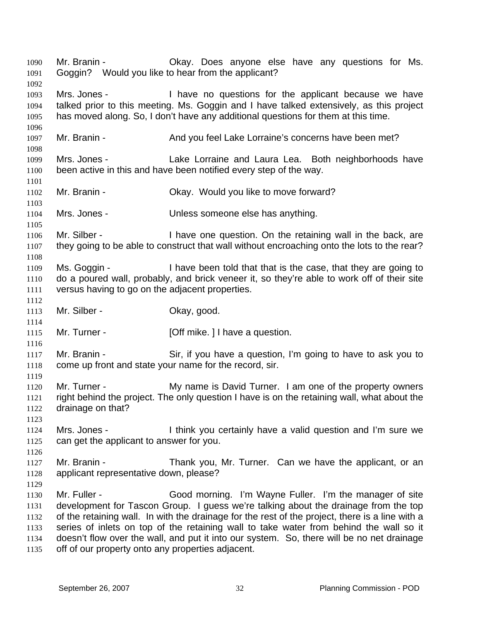Mr. Branin - Chay. Does anyone else have any questions for Ms. Goggin? Would you like to hear from the applicant? 1090 1091 1092 1093 1094 1095 1096 1097 1098 1099 1100 1101 1102 1103 1104 1105 1106 1107 1108 1109 1110 1111 1112 1113 1114 1115 1116 1117 1118 1119 1120 1121 1122 1123 1124 1125 1126 1127 1128 1129 1130 1131 1132 1133 1134 1135 Mrs. Jones - I have no questions for the applicant because we have talked prior to this meeting. Ms. Goggin and I have talked extensively, as this project has moved along. So, I don't have any additional questions for them at this time. Mr. Branin - And you feel Lake Lorraine's concerns have been met? Mrs. Jones - Lake Lorraine and Laura Lea. Both neighborhoods have been active in this and have been notified every step of the way. Mr. Branin - Ckay. Would you like to move forward? Mrs. Jones - Unless someone else has anything. Mr. Silber - The Superstandian I have one question. On the retaining wall in the back, are they going to be able to construct that wall without encroaching onto the lots to the rear? Ms. Goggin - I have been told that that is the case, that they are going to do a poured wall, probably, and brick veneer it, so they're able to work off of their site versus having to go on the adjacent properties. Mr. Silber - Chay, good. Mr. Turner - **[Off mike. ] I have a question.** Mr. Branin - Sir, if you have a question, I'm going to have to ask you to come up front and state your name for the record, sir. Mr. Turner - The My name is David Turner. I am one of the property owners right behind the project. The only question I have is on the retaining wall, what about the drainage on that? Mrs. Jones - I think you certainly have a valid question and I'm sure we can get the applicant to answer for you. Mr. Branin - Thank you, Mr. Turner. Can we have the applicant, or an applicant representative down, please? Mr. Fuller - Good morning. I'm Wayne Fuller. I'm the manager of site development for Tascon Group. I guess we're talking about the drainage from the top of the retaining wall. In with the drainage for the rest of the project, there is a line with a series of inlets on top of the retaining wall to take water from behind the wall so it doesn't flow over the wall, and put it into our system. So, there will be no net drainage off of our property onto any properties adjacent.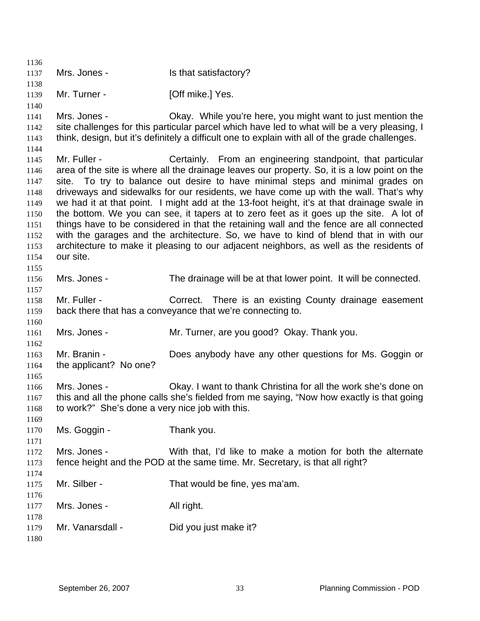1136 1137 1138 1139 1140 1141 1142 1143 1144 1145 1146 1147 1148 1149 1150 1151 1152 1153 1154 1155 1156 1157 1158 1159 1160 1161 1162 1163 1164 1165 1166 1167 1168 1169 1170 1171 1172 1173 1174 1175 1176 1177 1178 1179 1180 Mrs. Jones - Is that satisfactory? Mr. Turner - [Off mike.] Yes. Mrs. Jones - Ckay. While you're here, you might want to just mention the site challenges for this particular parcel which have led to what will be a very pleasing, I think, design, but it's definitely a difficult one to explain with all of the grade challenges. Mr. Fuller - Certainly. From an engineering standpoint, that particular area of the site is where all the drainage leaves our property. So, it is a low point on the site. To try to balance out desire to have minimal steps and minimal grades on driveways and sidewalks for our residents, we have come up with the wall. That's why we had it at that point. I might add at the 13-foot height, it's at that drainage swale in the bottom. We you can see, it tapers at to zero feet as it goes up the site. A lot of things have to be considered in that the retaining wall and the fence are all connected with the garages and the architecture. So, we have to kind of blend that in with our architecture to make it pleasing to our adjacent neighbors, as well as the residents of our site. Mrs. Jones - The drainage will be at that lower point. It will be connected. Mr. Fuller - **Correct.** There is an existing County drainage easement back there that has a conveyance that we're connecting to. Mrs. Jones - Mr. Turner, are you good? Okay. Thank you. Mr. Branin - Does anybody have any other questions for Ms. Goggin or the applicant? No one? Mrs. Jones - Christian Mrs. Jones - Okay. I want to thank Christina for all the work she's done on this and all the phone calls she's fielded from me saying, "Now how exactly is that going to work?" She's done a very nice job with this. Ms. Goggin - Thank you. Mrs. Jones - With that, I'd like to make a motion for both the alternate fence height and the POD at the same time. Mr. Secretary, is that all right? Mr. Silber - That would be fine, yes ma'am. Mrs. Jones - All right. Mr. Vanarsdall - Did you just make it?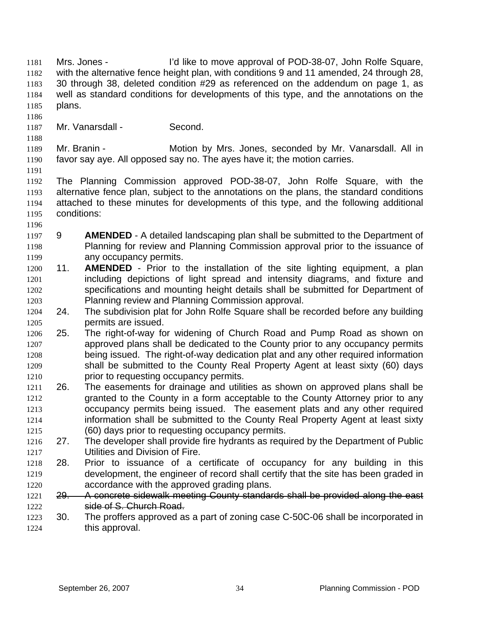Mrs. Jones - I'd like to move approval of POD-38-07, John Rolfe Square, with the alternative fence height plan, with conditions 9 and 11 amended, 24 through 28, 30 through 38, deleted condition #29 as referenced on the addendum on page 1, as well as standard conditions for developments of this type, and the annotations on the plans. 1181 1182 1183 1184 1185

- 1186
- 1187 Mr. Vanarsdall - Second.

1189 1190 Mr. Branin - **Motion by Mrs. Jones, seconded by Mr. Vanarsdall. All in** favor say aye. All opposed say no. The ayes have it; the motion carries.

1191

1188

1192 1193 1194 1195 The Planning Commission approved POD-38-07, John Rolfe Square, with the alternative fence plan, subject to the annotations on the plans, the standard conditions attached to these minutes for developments of this type, and the following additional conditions:

- 1196
- 1197 1198 1199 9 **AMENDED** - A detailed landscaping plan shall be submitted to the Department of Planning for review and Planning Commission approval prior to the issuance of any occupancy permits.
- 1200 1201 1202 1203 11. **AMENDED** - Prior to the installation of the site lighting equipment, a plan including depictions of light spread and intensity diagrams, and fixture and specifications and mounting height details shall be submitted for Department of Planning review and Planning Commission approval.
- 1204 1205 24. The subdivision plat for John Rolfe Square shall be recorded before any building permits are issued.
- 1206 1207 1208 1209 1210 25. The right-of-way for widening of Church Road and Pump Road as shown on approved plans shall be dedicated to the County prior to any occupancy permits being issued. The right-of-way dedication plat and any other required information shall be submitted to the County Real Property Agent at least sixty (60) days prior to requesting occupancy permits.
- 1211 1212 1213 1214 1215 26. The easements for drainage and utilities as shown on approved plans shall be granted to the County in a form acceptable to the County Attorney prior to any occupancy permits being issued. The easement plats and any other required information shall be submitted to the County Real Property Agent at least sixty (60) days prior to requesting occupancy permits.
- 1216 1217 27. The developer shall provide fire hydrants as required by the Department of Public Utilities and Division of Fire.
- 1218 1219 1220 28. Prior to issuance of a certificate of occupancy for any building in this development, the engineer of record shall certify that the site has been graded in accordance with the approved grading plans.
- 1221 29. A concrete sidewalk meeting County standards shall be provided along the east 1222 side of S. Church Road.
- 1223 1224 30. The proffers approved as a part of zoning case C-50C-06 shall be incorporated in this approval.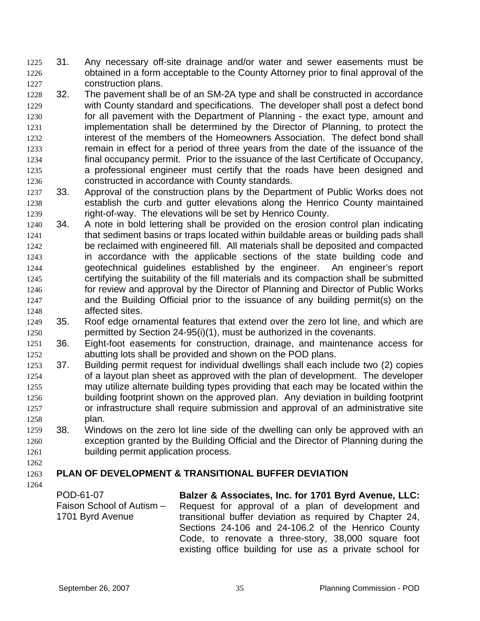- 31. Any necessary off-site drainage and/or water and sewer easements must be obtained in a form acceptable to the County Attorney prior to final approval of the construction plans. 1225 1226 1227
- 1228 1229 1230 1231 1232 1233 1234 1235 1236 32. The pavement shall be of an SM-2A type and shall be constructed in accordance with County standard and specifications. The developer shall post a defect bond for all pavement with the Department of Planning - the exact type, amount and implementation shall be determined by the Director of Planning, to protect the interest of the members of the Homeowners Association. The defect bond shall remain in effect for a period of three years from the date of the issuance of the final occupancy permit. Prior to the issuance of the last Certificate of Occupancy, a professional engineer must certify that the roads have been designed and constructed in accordance with County standards.
- 1237 1238 1239 33. Approval of the construction plans by the Department of Public Works does not establish the curb and gutter elevations along the Henrico County maintained right-of-way. The elevations will be set by Henrico County.
- 1240 1241 1242 1243 1244 1245 1246 1247 1248 34. A note in bold lettering shall be provided on the erosion control plan indicating that sediment basins or traps located within buildable areas or building pads shall be reclaimed with engineered fill. All materials shall be deposited and compacted in accordance with the applicable sections of the state building code and geotechnical guidelines established by the engineer. An engineer's report certifying the suitability of the fill materials and its compaction shall be submitted for review and approval by the Director of Planning and Director of Public Works and the Building Official prior to the issuance of any building permit(s) on the affected sites.
- 1249 1250 35. Roof edge ornamental features that extend over the zero lot line, and which are permitted by Section 24-95(i)(1), must be authorized in the covenants.
- 1251 1252 36. Eight-foot easements for construction, drainage, and maintenance access for abutting lots shall be provided and shown on the POD plans.
- 1253 1254 1255 1256 1257 1258 37. Building permit request for individual dwellings shall each include two (2) copies of a layout plan sheet as approved with the plan of development. The developer may utilize alternate building types providing that each may be located within the building footprint shown on the approved plan. Any deviation in building footprint or infrastructure shall require submission and approval of an administrative site plan.
- 1259 1260 1261 38. Windows on the zero lot line side of the dwelling can only be approved with an exception granted by the Building Official and the Director of Planning during the building permit application process.

# 1262

### 1263 **PLAN OF DEVELOPMENT & TRANSITIONAL BUFFER DEVIATION**

| POD-61-07                 | Balzer & Associates, Inc. for 1701 Byrd Avenue, LLC:     |
|---------------------------|----------------------------------------------------------|
| Faison School of Autism - | Request for approval of a plan of development and        |
| 1701 Byrd Avenue          | transitional buffer deviation as required by Chapter 24, |
|                           | Sections 24-106 and 24-106.2 of the Henrico County       |
|                           | Code, to renovate a three-story, 38,000 square foot      |
|                           | existing office building for use as a private school for |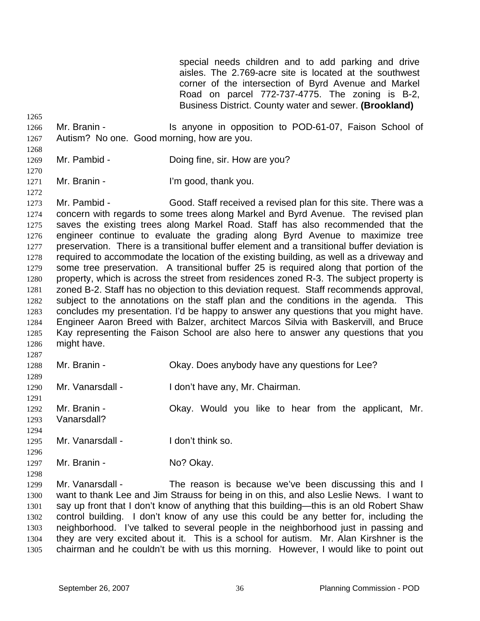special needs children and to add parking and drive aisles. The 2.769-acre site is located at the southwest corner of the intersection of Byrd Avenue and Markel Road on parcel 772-737-4775. The zoning is B-2, Business District. County water and sewer. **(Brookland)**

- 1266 1267 Mr. Branin - The Is anyone in opposition to POD-61-07, Faison School of Autism? No one. Good morning, how are you.
- 1269 Mr. Pambid - Doing fine, sir. How are you?
- 1270 1271 Mr. Branin - The U'm good, thank you.

1265

1268

- 1272 1273 1274 1275 1276 1277 1278 1279 1280 1281 1282 1283 1284 1285 1286 1287 Mr. Pambid - Good. Staff received a revised plan for this site. There was a concern with regards to some trees along Markel and Byrd Avenue. The revised plan saves the existing trees along Markel Road. Staff has also recommended that the engineer continue to evaluate the grading along Byrd Avenue to maximize tree preservation. There is a transitional buffer element and a transitional buffer deviation is required to accommodate the location of the existing building, as well as a driveway and some tree preservation. A transitional buffer 25 is required along that portion of the property, which is across the street from residences zoned R-3. The subject property is zoned B-2. Staff has no objection to this deviation request. Staff recommends approval, subject to the annotations on the staff plan and the conditions in the agenda. This concludes my presentation. I'd be happy to answer any questions that you might have. Engineer Aaron Breed with Balzer, architect Marcos Silvia with Baskervill, and Bruce Kay representing the Faison School are also here to answer any questions that you might have.
- 1288 Mr. Branin - Okay. Does anybody have any questions for Lee?
- 1290 Mr. Vanarsdall - I don't have any, Mr. Chairman.
- 1291 1292 1293 Mr. Branin - Ckay. Would you like to hear from the applicant, Mr. Vanarsdall?
- 1294 1295 Mr. Vanarsdall - I don't think so.
- 1297 Mr. Branin - No? Okay.
- 1298

1296

1289

1299 1300 1301 1302 1303 1304 1305 Mr. Vanarsdall - The reason is because we've been discussing this and I want to thank Lee and Jim Strauss for being in on this, and also Leslie News. I want to say up front that I don't know of anything that this building—this is an old Robert Shaw control building. I don't know of any use this could be any better for, including the neighborhood. I've talked to several people in the neighborhood just in passing and they are very excited about it. This is a school for autism. Mr. Alan Kirshner is the chairman and he couldn't be with us this morning. However, I would like to point out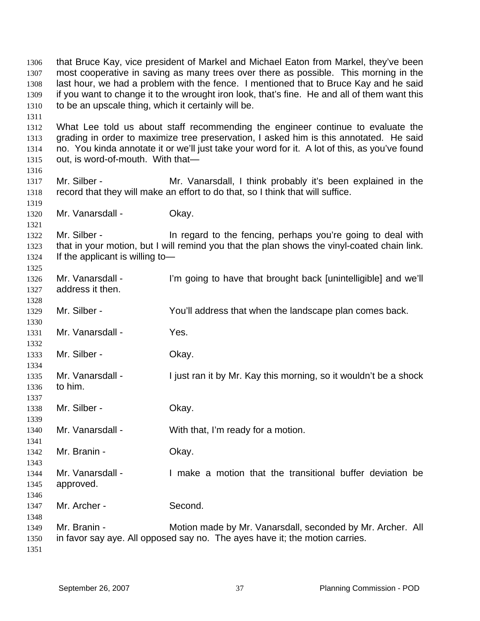that Bruce Kay, vice president of Markel and Michael Eaton from Markel, they've been most cooperative in saving as many trees over there as possible. This morning in the last hour, we had a problem with the fence. I mentioned that to Bruce Kay and he said if you want to change it to the wrought iron look, that's fine. He and all of them want this to be an upscale thing, which it certainly will be. 1306 1307 1308 1309 1310 1311 1312 1313 1314 1315 1316 1317 1318 1319 1320 1321 1322 1323 1324 1325 1326 1327 1328 1329 1330 1331 1332 1333 1334 1335 1336 1337 1338 1339 1340 1341 1342 1343 1344 1345 1346 1347 1348 1349 1350 1351 What Lee told us about staff recommending the engineer continue to evaluate the grading in order to maximize tree preservation, I asked him is this annotated. He said no. You kinda annotate it or we'll just take your word for it. A lot of this, as you've found out, is word-of-mouth. With that— Mr. Silber - Mr. Vanarsdall, I think probably it's been explained in the record that they will make an effort to do that, so I think that will suffice. Mr. Vanarsdall - Okay. Mr. Silber - The regard to the fencing, perhaps you're going to deal with that in your motion, but I will remind you that the plan shows the vinyl-coated chain link. If the applicant is willing to— Mr. Vanarsdall - I'm going to have that brought back [unintelligible] and we'll address it then. Mr. Silber - You'll address that when the landscape plan comes back. Mr. Vanarsdall - Yes. Mr. Silber - Ckay. Mr. Vanarsdall - I just ran it by Mr. Kay this morning, so it wouldn't be a shock to him. Mr. Silber - Chay. Mr. Vanarsdall - With that, I'm ready for a motion. Mr. Branin - Ckay. Mr. Vanarsdall - I make a motion that the transitional buffer deviation be approved. Mr. Archer - Second. Mr. Branin - **Motion made by Mr. Vanarsdall, seconded by Mr. Archer.** All in favor say aye. All opposed say no. The ayes have it; the motion carries.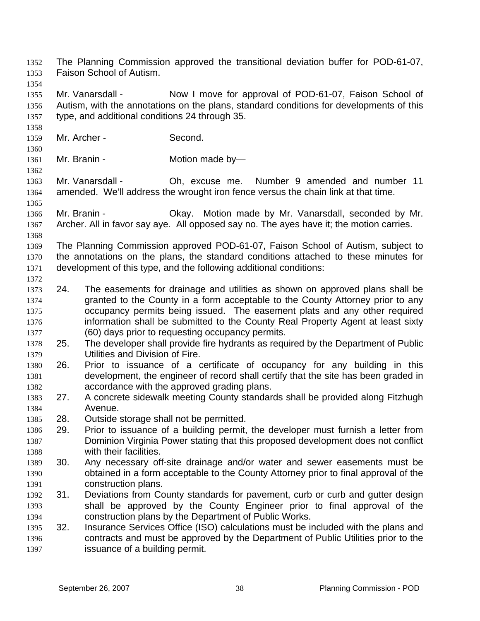Faison School of Autism. 1353 1354 1355 1356 1357 1358 1359 1360 1361 1362 1363 1364 1365 1366 1367 1368 1369 1370 1371 1372 1373 1374 1375 1376 1377 1378 1379 1380 1381 1382 1383 1384 1385 1386 1387 1388 1389 1390 1391 1392 1393 1394 1395 1396 1397 Mr. Vanarsdall - Now I move for approval of POD-61-07, Faison School of Autism, with the annotations on the plans, standard conditions for developments of this type, and additional conditions 24 through 35. Mr. Archer - Second. Mr. Branin - Motion made by-Mr. Vanarsdall - Ch, excuse me. Number 9 amended and number 11 amended. We'll address the wrought iron fence versus the chain link at that time. Mr. Branin - **CKAY.** Motion made by Mr. Vanarsdall, seconded by Mr. Archer. All in favor say aye. All opposed say no. The ayes have it; the motion carries. The Planning Commission approved POD-61-07, Faison School of Autism, subject to the annotations on the plans, the standard conditions attached to these minutes for development of this type, and the following additional conditions: 24. The easements for drainage and utilities as shown on approved plans shall be granted to the County in a form acceptable to the County Attorney prior to any occupancy permits being issued. The easement plats and any other required information shall be submitted to the County Real Property Agent at least sixty (60) days prior to requesting occupancy permits. 25. The developer shall provide fire hydrants as required by the Department of Public Utilities and Division of Fire. 26. Prior to issuance of a certificate of occupancy for any building in this development, the engineer of record shall certify that the site has been graded in accordance with the approved grading plans. 27. A concrete sidewalk meeting County standards shall be provided along Fitzhugh Avenue. 28. Outside storage shall not be permitted. 29. Prior to issuance of a building permit, the developer must furnish a letter from Dominion Virginia Power stating that this proposed development does not conflict with their facilities. 30. Any necessary off-site drainage and/or water and sewer easements must be obtained in a form acceptable to the County Attorney prior to final approval of the construction plans. 31. Deviations from County standards for pavement, curb or curb and gutter design shall be approved by the County Engineer prior to final approval of the construction plans by the Department of Public Works. 32. Insurance Services Office (ISO) calculations must be included with the plans and contracts and must be approved by the Department of Public Utilities prior to the issuance of a building permit.

The Planning Commission approved the transitional deviation buffer for POD-61-07,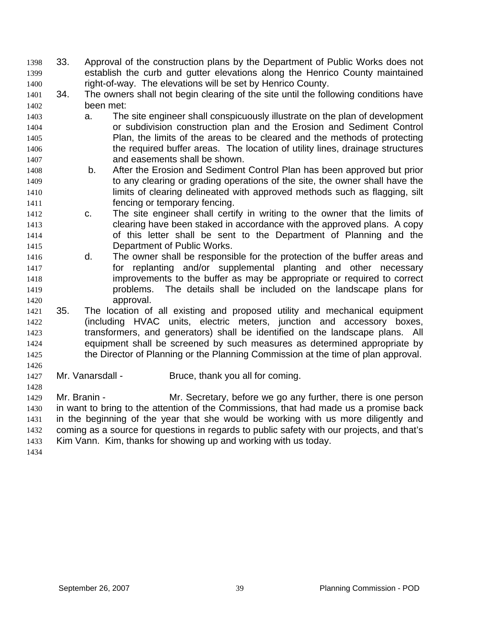- 33. Approval of the construction plans by the Department of Public Works does not establish the curb and gutter elevations along the Henrico County maintained right-of-way. The elevations will be set by Henrico County. 1398 1399 1400
- 1401 1402 34. The owners shall not begin clearing of the site until the following conditions have been met:
- 1403 1404 1405 1406 1407 a. The site engineer shall conspicuously illustrate on the plan of development or subdivision construction plan and the Erosion and Sediment Control Plan, the limits of the areas to be cleared and the methods of protecting the required buffer areas. The location of utility lines, drainage structures and easements shall be shown.
- 1408 1409 1410 1411 b. After the Erosion and Sediment Control Plan has been approved but prior to any clearing or grading operations of the site, the owner shall have the limits of clearing delineated with approved methods such as flagging, silt fencing or temporary fencing.
- 1412 1413 1414 1415 c. The site engineer shall certify in writing to the owner that the limits of clearing have been staked in accordance with the approved plans. A copy of this letter shall be sent to the Department of Planning and the Department of Public Works.
- 1416 1417 1418 1419 1420 d. The owner shall be responsible for the protection of the buffer areas and for replanting and/or supplemental planting and other necessary improvements to the buffer as may be appropriate or required to correct problems. The details shall be included on the landscape plans for approval.
- 1421 1422 1423 1424 1425 35. The location of all existing and proposed utility and mechanical equipment (including HVAC units, electric meters, junction and accessory boxes, transformers, and generators) shall be identified on the landscape plans. All equipment shall be screened by such measures as determined appropriate by the Director of Planning or the Planning Commission at the time of plan approval.
- 1427 Mr. Vanarsdall - Bruce, thank you all for coming.

1429 1430 1431 1432 1433 Mr. Branin - Mr. Secretary, before we go any further, there is one person in want to bring to the attention of the Commissions, that had made us a promise back in the beginning of the year that she would be working with us more diligently and coming as a source for questions in regards to public safety with our projects, and that's Kim Vann. Kim, thanks for showing up and working with us today.

1434

1426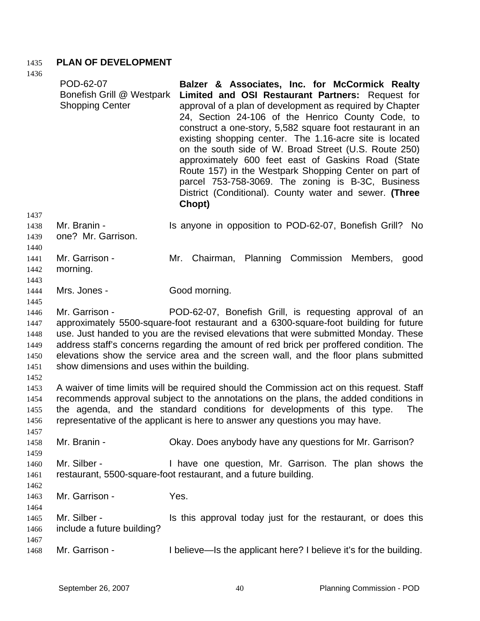## 1435 **PLAN OF DEVELOPMENT**

| 1436<br>1437                                 | POD-62-07<br>Bonefish Grill @ Westpark<br><b>Shopping Center</b>                                                                                                                                                                                                                                                                                                                                                                                                                             | Balzer & Associates, Inc. for McCormick Realty<br>Limited and OSI Restaurant Partners: Request for<br>approval of a plan of development as required by Chapter<br>24, Section 24-106 of the Henrico County Code, to<br>construct a one-story, 5,582 square foot restaurant in an<br>existing shopping center. The 1.16-acre site is located<br>on the south side of W. Broad Street (U.S. Route 250)<br>approximately 600 feet east of Gaskins Road (State<br>Route 157) in the Westpark Shopping Center on part of<br>parcel 753-758-3069. The zoning is B-3C, Business<br>District (Conditional). County water and sewer. (Three<br>Chopt) |  |  |
|----------------------------------------------|----------------------------------------------------------------------------------------------------------------------------------------------------------------------------------------------------------------------------------------------------------------------------------------------------------------------------------------------------------------------------------------------------------------------------------------------------------------------------------------------|----------------------------------------------------------------------------------------------------------------------------------------------------------------------------------------------------------------------------------------------------------------------------------------------------------------------------------------------------------------------------------------------------------------------------------------------------------------------------------------------------------------------------------------------------------------------------------------------------------------------------------------------|--|--|
| 1438<br>1439<br>1440                         | Mr. Branin -<br>one? Mr. Garrison.                                                                                                                                                                                                                                                                                                                                                                                                                                                           | Is anyone in opposition to POD-62-07, Bonefish Grill? No                                                                                                                                                                                                                                                                                                                                                                                                                                                                                                                                                                                     |  |  |
| 1441<br>1442<br>1443                         | Mr. Garrison -<br>morning.                                                                                                                                                                                                                                                                                                                                                                                                                                                                   | Mr. Chairman, Planning Commission Members, good                                                                                                                                                                                                                                                                                                                                                                                                                                                                                                                                                                                              |  |  |
| 1444<br>1445                                 | Mrs. Jones -                                                                                                                                                                                                                                                                                                                                                                                                                                                                                 | Good morning.                                                                                                                                                                                                                                                                                                                                                                                                                                                                                                                                                                                                                                |  |  |
| 1446<br>1447<br>1448<br>1449<br>1450<br>1451 | Mr. Garrison -<br>POD-62-07, Bonefish Grill, is requesting approval of an<br>approximately 5500-square-foot restaurant and a 6300-square-foot building for future<br>use. Just handed to you are the revised elevations that were submitted Monday. These<br>address staff's concerns regarding the amount of red brick per proffered condition. The<br>elevations show the service area and the screen wall, and the floor plans submitted<br>show dimensions and uses within the building. |                                                                                                                                                                                                                                                                                                                                                                                                                                                                                                                                                                                                                                              |  |  |
| 1452<br>1453<br>1454<br>1455<br>1456         |                                                                                                                                                                                                                                                                                                                                                                                                                                                                                              | A waiver of time limits will be required should the Commission act on this request. Staff<br>recommends approval subject to the annotations on the plans, the added conditions in<br>the agenda, and the standard conditions for developments of this type.<br><b>The</b><br>representative of the applicant is here to answer any questions you may have.                                                                                                                                                                                                                                                                                   |  |  |
| 1457<br>1458<br>1459                         | Mr. Branin -                                                                                                                                                                                                                                                                                                                                                                                                                                                                                 | Okay. Does anybody have any questions for Mr. Garrison?                                                                                                                                                                                                                                                                                                                                                                                                                                                                                                                                                                                      |  |  |
| 1460<br>1461<br>1462                         | Mr. Silber -                                                                                                                                                                                                                                                                                                                                                                                                                                                                                 | I have one question, Mr. Garrison. The plan shows the<br>restaurant, 5500-square-foot restaurant, and a future building.                                                                                                                                                                                                                                                                                                                                                                                                                                                                                                                     |  |  |
| 1463                                         | Mr. Garrison -                                                                                                                                                                                                                                                                                                                                                                                                                                                                               | Yes.                                                                                                                                                                                                                                                                                                                                                                                                                                                                                                                                                                                                                                         |  |  |
| 1464<br>1465<br>1466                         | Mr. Silber -<br>include a future building?                                                                                                                                                                                                                                                                                                                                                                                                                                                   | Is this approval today just for the restaurant, or does this                                                                                                                                                                                                                                                                                                                                                                                                                                                                                                                                                                                 |  |  |
| 1467<br>1468                                 | Mr. Garrison -                                                                                                                                                                                                                                                                                                                                                                                                                                                                               | I believe—Is the applicant here? I believe it's for the building.                                                                                                                                                                                                                                                                                                                                                                                                                                                                                                                                                                            |  |  |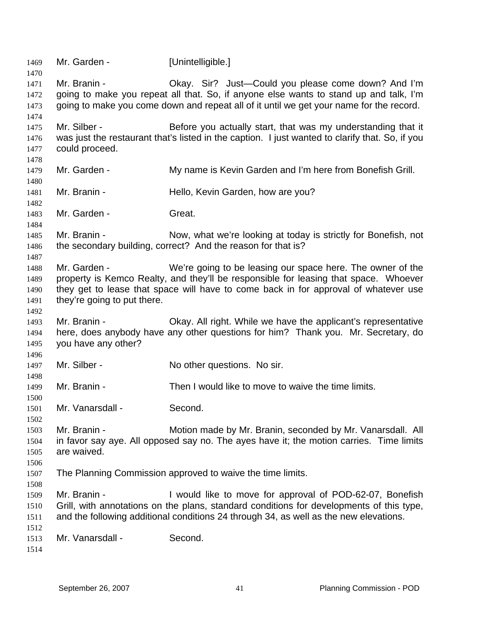1469 Mr. Garden - [Unintelligible.] 1470 1471 1472 1473 1474 1475 1476 1477 1478 1479 1480 1481 1482 1483 1484 1485 1486 1487 1488 1489 1490 1491 1492 1493 1494 1495 1496 1497 1498 1499 1500 1501 1502 1503 1504 1505 1506 1507 1508 1509 1510 1511 1512 1513 1514 Mr. Branin - Chay. Sir? Just—Could you please come down? And I'm going to make you repeat all that. So, if anyone else wants to stand up and talk, I'm going to make you come down and repeat all of it until we get your name for the record. Mr. Silber - Before you actually start, that was my understanding that it was just the restaurant that's listed in the caption. I just wanted to clarify that. So, if you could proceed. Mr. Garden - My name is Kevin Garden and I'm here from Bonefish Grill. Mr. Branin - **Hello, Kevin Garden, how are you?** Mr. Garden - Great. Mr. Branin - Now, what we're looking at today is strictly for Bonefish, not the secondary building, correct? And the reason for that is? Mr. Garden - We're going to be leasing our space here. The owner of the property is Kemco Realty, and they'll be responsible for leasing that space. Whoever they get to lease that space will have to come back in for approval of whatever use they're going to put there. Mr. Branin - Ckay. All right. While we have the applicant's representative here, does anybody have any other questions for him? Thank you. Mr. Secretary, do you have any other? Mr. Silber - No other questions. No sir. Mr. Branin - Then I would like to move to waive the time limits. Mr. Vanarsdall - Second. Mr. Branin - Motion made by Mr. Branin, seconded by Mr. Vanarsdall. All in favor say aye. All opposed say no. The ayes have it; the motion carries. Time limits are waived. The Planning Commission approved to waive the time limits. Mr. Branin - The State of I would like to move for approval of POD-62-07, Bonefish Grill, with annotations on the plans, standard conditions for developments of this type, and the following additional conditions 24 through 34, as well as the new elevations. Mr. Vanarsdall - Second.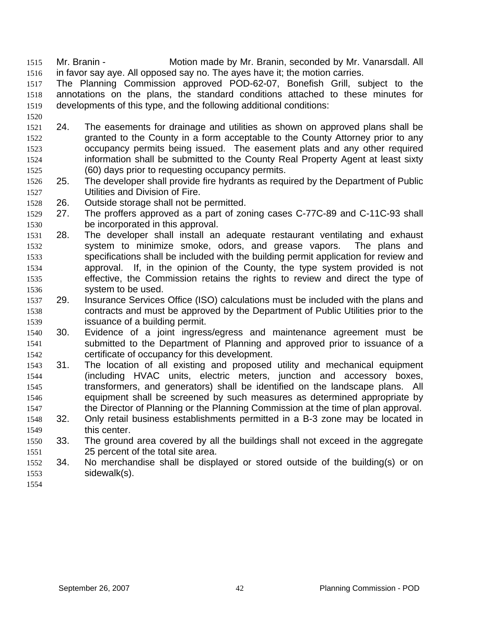- Mr. Branin Motion made by Mr. Branin, seconded by Mr. Vanarsdall. All in favor say aye. All opposed say no. The ayes have it; the motion carries. 1515 1516
- 1517 1518 1519 The Planning Commission approved POD-62-07, Bonefish Grill, subject to the annotations on the plans, the standard conditions attached to these minutes for developments of this type, and the following additional conditions:
- 1521 1522 1523 1524 1525 24. The easements for drainage and utilities as shown on approved plans shall be granted to the County in a form acceptable to the County Attorney prior to any occupancy permits being issued. The easement plats and any other required information shall be submitted to the County Real Property Agent at least sixty (60) days prior to requesting occupancy permits.
- 1526 1527 25. The developer shall provide fire hydrants as required by the Department of Public Utilities and Division of Fire.
- 1528 26. Outside storage shall not be permitted.
- 1529 1530 27. The proffers approved as a part of zoning cases C-77C-89 and C-11C-93 shall be incorporated in this approval.
- 1531 1532 1533 1534 1535 1536 28. The developer shall install an adequate restaurant ventilating and exhaust system to minimize smoke, odors, and grease vapors. The plans and specifications shall be included with the building permit application for review and approval. If, in the opinion of the County, the type system provided is not effective, the Commission retains the rights to review and direct the type of system to be used.
- 1537 1538 1539 29. Insurance Services Office (ISO) calculations must be included with the plans and contracts and must be approved by the Department of Public Utilities prior to the issuance of a building permit.
- 1540 1541 1542 30. Evidence of a joint ingress/egress and maintenance agreement must be submitted to the Department of Planning and approved prior to issuance of a certificate of occupancy for this development.
- 1543 1544 1545 1546 1547 31. The location of all existing and proposed utility and mechanical equipment (including HVAC units, electric meters, junction and accessory boxes, transformers, and generators) shall be identified on the landscape plans. All equipment shall be screened by such measures as determined appropriate by the Director of Planning or the Planning Commission at the time of plan approval.
- 1548 1549 32. Only retail business establishments permitted in a B-3 zone may be located in this center.
- 1550 1551 33. The ground area covered by all the buildings shall not exceed in the aggregate 25 percent of the total site area.
- 1552 1553 34. No merchandise shall be displayed or stored outside of the building(s) or on sidewalk(s).
- 1554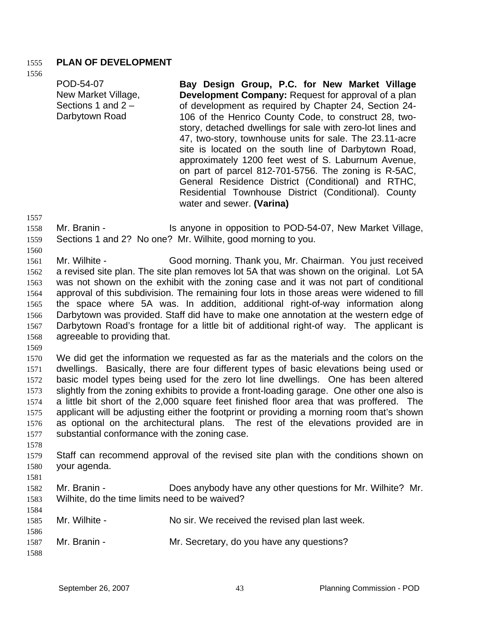## 1555 **PLAN OF DEVELOPMENT**

1556

POD-54-07 New Market Village, Sections 1 and 2 – Darbytown Road **Bay Design Group, P.C. for New Market Village Development Company:** Request for approval of a plan of development as required by Chapter 24, Section 24- 106 of the Henrico County Code, to construct 28, twostory, detached dwellings for sale with zero-lot lines and 47, two-story, townhouse units for sale. The 23.11-acre site is located on the south line of Darbytown Road, approximately 1200 feet west of S. Laburnum Avenue, on part of parcel 812-701-5756. The zoning is R-5AC, General Residence District (Conditional) and RTHC, Residential Townhouse District (Conditional). County water and sewer. **(Varina)**

1557

1560

1558 1559 Mr. Branin - Is anyone in opposition to POD-54-07, New Market Village, Sections 1 and 2? No one? Mr. Wilhite, good morning to you.

1561 1562 1563 1564 1565 1566 1567 1568 Mr. Wilhite - Good morning. Thank you, Mr. Chairman. You just received a revised site plan. The site plan removes lot 5A that was shown on the original. Lot 5A was not shown on the exhibit with the zoning case and it was not part of conditional approval of this subdivision. The remaining four lots in those areas were widened to fill the space where 5A was. In addition, additional right-of-way information along Darbytown was provided. Staff did have to make one annotation at the western edge of Darbytown Road's frontage for a little bit of additional right-of way. The applicant is agreeable to providing that.

1569

1570 1571 1572 1573 1574 1575 1576 1577 We did get the information we requested as far as the materials and the colors on the dwellings. Basically, there are four different types of basic elevations being used or basic model types being used for the zero lot line dwellings. One has been altered slightly from the zoning exhibits to provide a front-loading garage. One other one also is a little bit short of the 2,000 square feet finished floor area that was proffered. The applicant will be adjusting either the footprint or providing a morning room that's shown as optional on the architectural plans. The rest of the elevations provided are in substantial conformance with the zoning case.

1578

1581

- 1579 1580 Staff can recommend approval of the revised site plan with the conditions shown on your agenda.
- 1582 1583 Mr. Branin - Does anybody have any other questions for Mr. Wilhite? Mr. Wilhite, do the time limits need to be waived?

| 1584.<br>1585 | Mr. Wilhite - | No sir. We received the revised plan last week. |
|---------------|---------------|-------------------------------------------------|
| 1586          |               |                                                 |
| 1587          | Mr. Branin -  | Mr. Secretary, do you have any questions?       |
| 1588          |               |                                                 |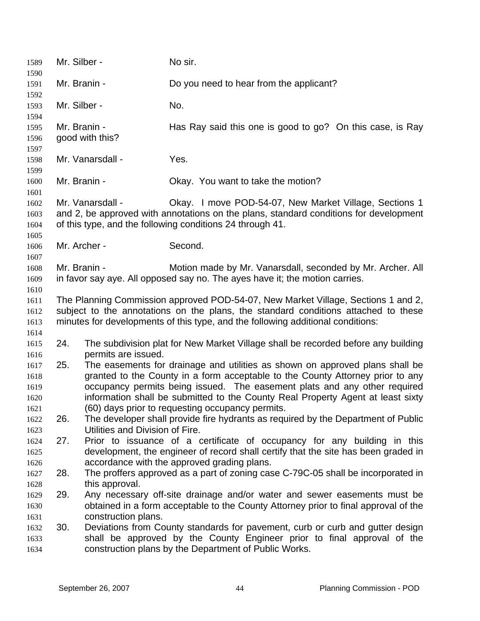| 1589<br>1590                                 | Mr. Silber - |                                                                                                                                                                                                                                                                                                                                                                                                           | No sir.                                                                                                                                                                                                                                                    |  |
|----------------------------------------------|--------------|-----------------------------------------------------------------------------------------------------------------------------------------------------------------------------------------------------------------------------------------------------------------------------------------------------------------------------------------------------------------------------------------------------------|------------------------------------------------------------------------------------------------------------------------------------------------------------------------------------------------------------------------------------------------------------|--|
| 1591                                         | Mr. Branin - |                                                                                                                                                                                                                                                                                                                                                                                                           | Do you need to hear from the applicant?                                                                                                                                                                                                                    |  |
| 1592<br>1593                                 | Mr. Silber - |                                                                                                                                                                                                                                                                                                                                                                                                           | No.                                                                                                                                                                                                                                                        |  |
| 1594<br>1595                                 | Mr. Branin - |                                                                                                                                                                                                                                                                                                                                                                                                           | Has Ray said this one is good to go? On this case, is Ray                                                                                                                                                                                                  |  |
| 1596                                         |              | good with this?                                                                                                                                                                                                                                                                                                                                                                                           |                                                                                                                                                                                                                                                            |  |
| 1597<br>1598<br>1599                         |              | Mr. Vanarsdall -                                                                                                                                                                                                                                                                                                                                                                                          | Yes.                                                                                                                                                                                                                                                       |  |
| 1600<br>1601                                 | Mr. Branin - |                                                                                                                                                                                                                                                                                                                                                                                                           | Okay. You want to take the motion?                                                                                                                                                                                                                         |  |
| 1602<br>1603<br>1604                         |              | Mr. Vanarsdall -                                                                                                                                                                                                                                                                                                                                                                                          | Okay. I move POD-54-07, New Market Village, Sections 1<br>and 2, be approved with annotations on the plans, standard conditions for development<br>of this type, and the following conditions 24 through 41.                                               |  |
| 1605<br>1606<br>1607                         | Mr. Archer - |                                                                                                                                                                                                                                                                                                                                                                                                           | Second.                                                                                                                                                                                                                                                    |  |
| 1608<br>1609                                 | Mr. Branin - |                                                                                                                                                                                                                                                                                                                                                                                                           | Motion made by Mr. Vanarsdall, seconded by Mr. Archer. All<br>in favor say aye. All opposed say no. The ayes have it; the motion carries.                                                                                                                  |  |
| 1610<br>1611<br>1612<br>1613                 |              |                                                                                                                                                                                                                                                                                                                                                                                                           | The Planning Commission approved POD-54-07, New Market Village, Sections 1 and 2,<br>subject to the annotations on the plans, the standard conditions attached to these<br>minutes for developments of this type, and the following additional conditions: |  |
| 1614<br>1615                                 | 24.          |                                                                                                                                                                                                                                                                                                                                                                                                           | The subdivision plat for New Market Village shall be recorded before any building                                                                                                                                                                          |  |
| 1616<br>1617<br>1618<br>1619<br>1620<br>1621 | 25.          | permits are issued.<br>The easements for drainage and utilities as shown on approved plans shall be<br>granted to the County in a form acceptable to the County Attorney prior to any<br>occupancy permits being issued. The easement plats and any other required<br>information shall be submitted to the County Real Property Agent at least sixty<br>(60) days prior to requesting occupancy permits. |                                                                                                                                                                                                                                                            |  |
| 1622<br>1623                                 | 26.          | Utilities and Division of Fire.                                                                                                                                                                                                                                                                                                                                                                           | The developer shall provide fire hydrants as required by the Department of Public                                                                                                                                                                          |  |
| 1624<br>1625                                 | 27.          |                                                                                                                                                                                                                                                                                                                                                                                                           | Prior to issuance of a certificate of occupancy for any building in this<br>development, the engineer of record shall certify that the site has been graded in                                                                                             |  |
| 1626<br>1627<br>1628                         | 28.          | this approval.                                                                                                                                                                                                                                                                                                                                                                                            | accordance with the approved grading plans.<br>The proffers approved as a part of zoning case C-79C-05 shall be incorporated in                                                                                                                            |  |
| 1629<br>1630                                 | 29.          |                                                                                                                                                                                                                                                                                                                                                                                                           | Any necessary off-site drainage and/or water and sewer easements must be<br>obtained in a form acceptable to the County Attorney prior to final approval of the                                                                                            |  |
| 1631<br>1632<br>1633                         | 30.          | construction plans.                                                                                                                                                                                                                                                                                                                                                                                       | Deviations from County standards for pavement, curb or curb and gutter design<br>shall be approved by the County Engineer prior to final approval of the                                                                                                   |  |
| 1634                                         |              |                                                                                                                                                                                                                                                                                                                                                                                                           | construction plans by the Department of Public Works.                                                                                                                                                                                                      |  |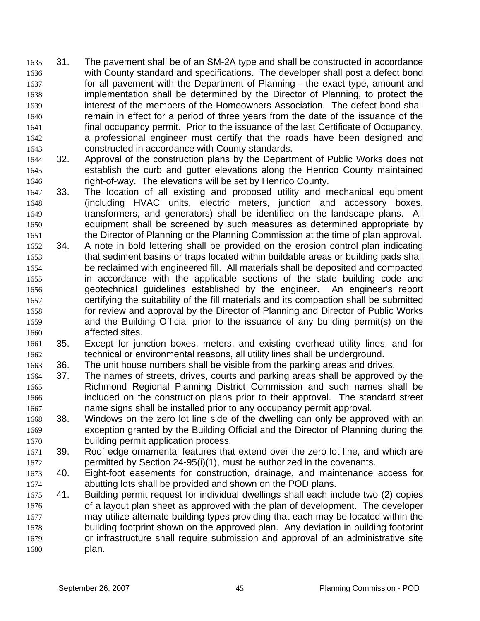31. The pavement shall be of an SM-2A type and shall be constructed in accordance with County standard and specifications. The developer shall post a defect bond for all pavement with the Department of Planning - the exact type, amount and implementation shall be determined by the Director of Planning, to protect the interest of the members of the Homeowners Association. The defect bond shall remain in effect for a period of three years from the date of the issuance of the final occupancy permit. Prior to the issuance of the last Certificate of Occupancy, a professional engineer must certify that the roads have been designed and constructed in accordance with County standards. 1635 1636 1637 1638 1639 1640 1641 1642 1643

- 1644 1645 1646 32. Approval of the construction plans by the Department of Public Works does not establish the curb and gutter elevations along the Henrico County maintained right-of-way. The elevations will be set by Henrico County.
- 1647 1648 1649 1650 1651 33. The location of all existing and proposed utility and mechanical equipment (including HVAC units, electric meters, junction and accessory boxes, transformers, and generators) shall be identified on the landscape plans. All equipment shall be screened by such measures as determined appropriate by the Director of Planning or the Planning Commission at the time of plan approval.
- 1652 1653 1654 1655 1656 1657 1658 1659 1660 34. A note in bold lettering shall be provided on the erosion control plan indicating that sediment basins or traps located within buildable areas or building pads shall be reclaimed with engineered fill. All materials shall be deposited and compacted in accordance with the applicable sections of the state building code and geotechnical guidelines established by the engineer. An engineer's report certifying the suitability of the fill materials and its compaction shall be submitted for review and approval by the Director of Planning and Director of Public Works and the Building Official prior to the issuance of any building permit(s) on the affected sites.
- 1661 1662 35. Except for junction boxes, meters, and existing overhead utility lines, and for technical or environmental reasons, all utility lines shall be underground.
- 1663 36. The unit house numbers shall be visible from the parking areas and drives.
- 1664 1665 1666 1667 37. The names of streets, drives, courts and parking areas shall be approved by the Richmond Regional Planning District Commission and such names shall be included on the construction plans prior to their approval. The standard street name signs shall be installed prior to any occupancy permit approval.
- 1668 1669 1670 38. Windows on the zero lot line side of the dwelling can only be approved with an exception granted by the Building Official and the Director of Planning during the building permit application process.
- 1671 1672 39. Roof edge ornamental features that extend over the zero lot line, and which are permitted by Section 24-95(i)(1), must be authorized in the covenants.
- 1673 1674 40. Eight-foot easements for construction, drainage, and maintenance access for abutting lots shall be provided and shown on the POD plans.
- 1675 1676 1677 1678 1679 1680 41. Building permit request for individual dwellings shall each include two (2) copies of a layout plan sheet as approved with the plan of development. The developer may utilize alternate building types providing that each may be located within the building footprint shown on the approved plan. Any deviation in building footprint or infrastructure shall require submission and approval of an administrative site plan.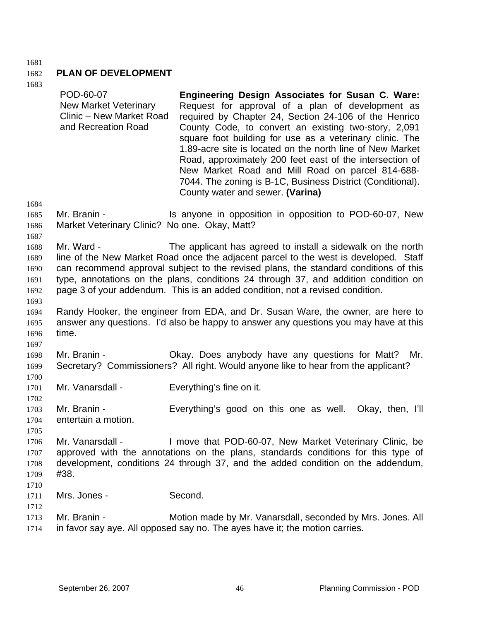1681

#### 1682 **PLAN OF DEVELOPMENT**

| 1684                                         | POD-60-07<br><b>New Market Veterinary</b><br>Clinic - New Market Road<br>and Recreation Road | <b>Engineering Design Associates for Susan C. Ware:</b><br>Request for approval of a plan of development as<br>required by Chapter 24, Section 24-106 of the Henrico<br>County Code, to convert an existing two-story, 2,091<br>square foot building for use as a veterinary clinic. The<br>1.89-acre site is located on the north line of New Market<br>Road, approximately 200 feet east of the intersection of<br>New Market Road and Mill Road on parcel 814-688-<br>7044. The zoning is B-1C, Business District (Conditional).<br>County water and sewer. (Varina) |
|----------------------------------------------|----------------------------------------------------------------------------------------------|-------------------------------------------------------------------------------------------------------------------------------------------------------------------------------------------------------------------------------------------------------------------------------------------------------------------------------------------------------------------------------------------------------------------------------------------------------------------------------------------------------------------------------------------------------------------------|
| 1685<br>1686<br>1687                         | Mr. Branin -<br>Market Veterinary Clinic? No one. Okay, Matt?                                | Is anyone in opposition in opposition to POD-60-07, New                                                                                                                                                                                                                                                                                                                                                                                                                                                                                                                 |
| 1688<br>1689<br>1690<br>1691<br>1692<br>1693 | Mr. Ward -                                                                                   | The applicant has agreed to install a sidewalk on the north<br>line of the New Market Road once the adjacent parcel to the west is developed. Staff<br>can recommend approval subject to the revised plans, the standard conditions of this<br>type, annotations on the plans, conditions 24 through 37, and addition condition on<br>page 3 of your addendum. This is an added condition, not a revised condition.                                                                                                                                                     |
| 1694<br>1695<br>1696<br>1697                 | time.                                                                                        | Randy Hooker, the engineer from EDA, and Dr. Susan Ware, the owner, are here to<br>answer any questions. I'd also be happy to answer any questions you may have at this                                                                                                                                                                                                                                                                                                                                                                                                 |
| 1698<br>1699<br>1700                         | Mr. Branin -                                                                                 | Okay. Does anybody have any questions for Matt?<br>Mr.<br>Secretary? Commissioners? All right. Would anyone like to hear from the applicant?                                                                                                                                                                                                                                                                                                                                                                                                                            |
| 1701<br>1702                                 | Mr. Vanarsdall -                                                                             | Everything's fine on it.                                                                                                                                                                                                                                                                                                                                                                                                                                                                                                                                                |
| 1703<br>1704<br>1705                         | Mr. Branin -<br>entertain a motion.                                                          | Everything's good on this one as well.<br>Okay, then, I'll                                                                                                                                                                                                                                                                                                                                                                                                                                                                                                              |
| 1706<br>1707<br>1708<br>1709<br>1710         | Mr. Vanarsdall -<br>#38.                                                                     | I move that POD-60-07, New Market Veterinary Clinic, be<br>approved with the annotations on the plans, standards conditions for this type of<br>development, conditions 24 through 37, and the added condition on the addendum,                                                                                                                                                                                                                                                                                                                                         |
| 1711<br>1712                                 | Mrs. Jones -                                                                                 | Second.                                                                                                                                                                                                                                                                                                                                                                                                                                                                                                                                                                 |
| 1713<br>1714                                 | Mr. Branin -                                                                                 | Motion made by Mr. Vanarsdall, seconded by Mrs. Jones. All<br>in favor say aye. All opposed say no. The ayes have it; the motion carries.                                                                                                                                                                                                                                                                                                                                                                                                                               |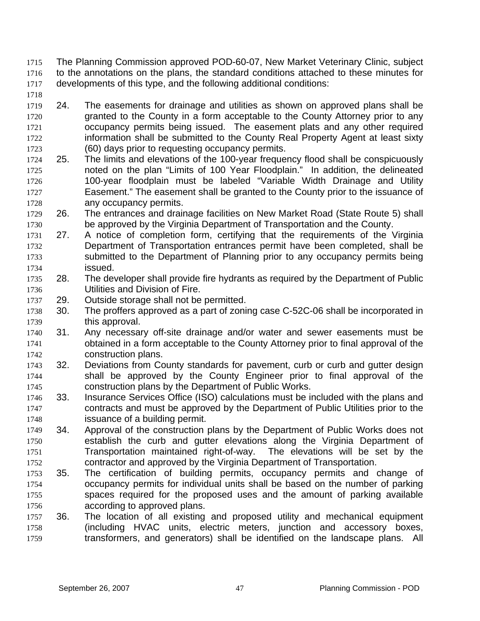- The Planning Commission approved POD-60-07, New Market Veterinary Clinic, subject to the annotations on the plans, the standard conditions attached to these minutes for developments of this type, and the following additional conditions: 1715 1716 1717
- 1718
- 1719 1720 1721 1722 1723 24. The easements for drainage and utilities as shown on approved plans shall be granted to the County in a form acceptable to the County Attorney prior to any occupancy permits being issued. The easement plats and any other required information shall be submitted to the County Real Property Agent at least sixty (60) days prior to requesting occupancy permits.
- 1724 1725 1726 1727 1728 25. The limits and elevations of the 100-year frequency flood shall be conspicuously noted on the plan "Limits of 100 Year Floodplain." In addition, the delineated 100-year floodplain must be labeled "Variable Width Drainage and Utility Easement." The easement shall be granted to the County prior to the issuance of any occupancy permits.
- 1729 1730 26. The entrances and drainage facilities on New Market Road (State Route 5) shall be approved by the Virginia Department of Transportation and the County.
- 1731 1732 1733 1734 27. A notice of completion form, certifying that the requirements of the Virginia Department of Transportation entrances permit have been completed, shall be submitted to the Department of Planning prior to any occupancy permits being issued.
- 1735 1736 28. The developer shall provide fire hydrants as required by the Department of Public Utilities and Division of Fire.
- 1737 29. Outside storage shall not be permitted.
- 1738 1739 30. The proffers approved as a part of zoning case C-52C-06 shall be incorporated in this approval.
- 1740 1741 1742 31. Any necessary off-site drainage and/or water and sewer easements must be obtained in a form acceptable to the County Attorney prior to final approval of the construction plans.
- 1743 1744 1745 32. Deviations from County standards for pavement, curb or curb and gutter design shall be approved by the County Engineer prior to final approval of the construction plans by the Department of Public Works.
- 1746 1747 1748 33. Insurance Services Office (ISO) calculations must be included with the plans and contracts and must be approved by the Department of Public Utilities prior to the issuance of a building permit.
- 1749 1750 1751 1752 34. Approval of the construction plans by the Department of Public Works does not establish the curb and gutter elevations along the Virginia Department of Transportation maintained right-of-way. The elevations will be set by the contractor and approved by the Virginia Department of Transportation.
- 1753 1754 1755 1756 35. The certification of building permits, occupancy permits and change of occupancy permits for individual units shall be based on the number of parking spaces required for the proposed uses and the amount of parking available according to approved plans.
- 1757 1758 1759 36. The location of all existing and proposed utility and mechanical equipment (including HVAC units, electric meters, junction and accessory boxes, transformers, and generators) shall be identified on the landscape plans. All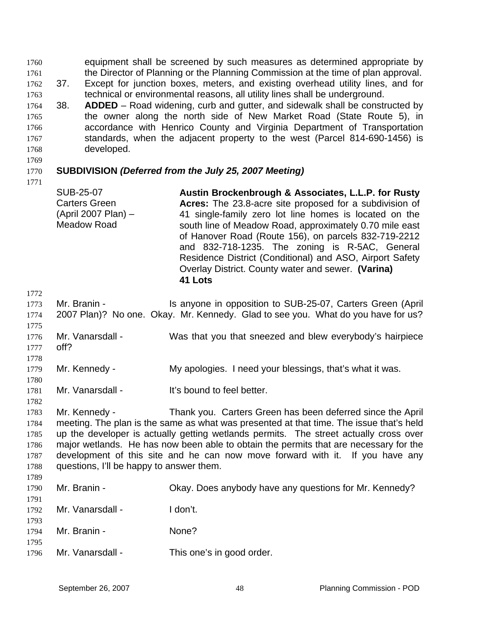equipment shall be screened by such measures as determined appropriate by the Director of Planning or the Planning Commission at the time of plan approval. 1760 1761

- 1762 1763 37. Except for junction boxes, meters, and existing overhead utility lines, and for technical or environmental reasons, all utility lines shall be underground.
- 1764 1765 1766 1767 1768 38. **ADDED** – Road widening, curb and gutter, and sidewalk shall be constructed by the owner along the north side of New Market Road (State Route 5), in accordance with Henrico County and Virginia Department of Transportation standards, when the adjacent property to the west (Parcel 814-690-1456) is developed.
- 1769

1771

#### 1770 **SUBDIVISION** *(Deferred from the July 25, 2007 Meeting)*

- SUB-25-07 Carters Green (April 2007 Plan) – Meadow Road **Austin Brockenbrough & Associates, L.L.P. for Rusty Acres:** The 23.8-acre site proposed for a subdivision of 41 single-family zero lot line homes is located on the south line of Meadow Road, approximately 0.70 mile east of Hanover Road (Route 156), on parcels 832-719-2212 and 832-718-1235. The zoning is R-5AC, General Residence District (Conditional) and ASO, Airport Safety Overlay District. County water and sewer. **(Varina) 41 Lots**
- 1772

1782

1789

| 1772 |                  |                                                                                  |
|------|------------------|----------------------------------------------------------------------------------|
| 1773 | Mr. Branin -     | Is anyone in opposition to SUB-25-07, Carters Green (April                       |
| 1774 |                  | 2007 Plan)? No one. Okay. Mr. Kennedy. Glad to see you. What do you have for us? |
| 1775 |                  |                                                                                  |
| 1776 | Mr. Vanarsdall - | Was that you that sneezed and blew everybody's hairpiece                         |
| 1777 | off?             |                                                                                  |
| 1778 |                  |                                                                                  |
| 1779 | Mr. Kennedy -    | My apologies. I need your blessings, that's what it was.                         |
| 1780 |                  |                                                                                  |
| 1781 | Mr. Vanarsdall - | It's bound to feel better.                                                       |

1783 1784 1785 1786 1787 1788 Mr. Kennedy - Thank you. Carters Green has been deferred since the April meeting. The plan is the same as what was presented at that time. The issue that's held up the developer is actually getting wetlands permits. The street actually cross over major wetlands. He has now been able to obtain the permits that are necessary for the development of this site and he can now move forward with it. If you have any questions, I'll be happy to answer them.

1790 1791 1792 1793 1794 1795 1796 Mr. Branin - Ckay. Does anybody have any questions for Mr. Kennedy? Mr. Vanarsdall - I don't. Mr. Branin - None? Mr. Vanarsdall - This one's in good order.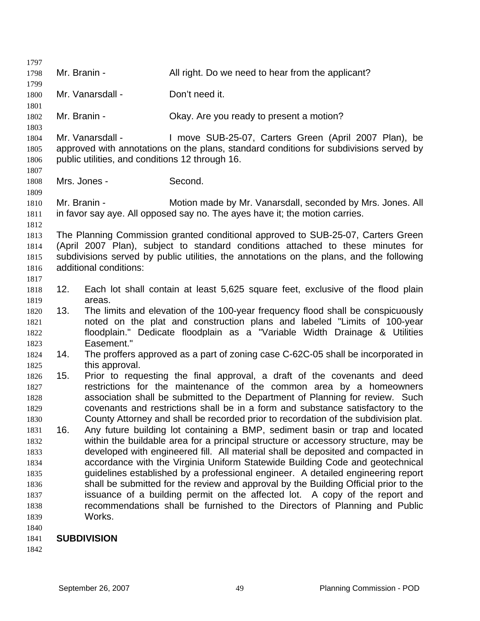| 1797         |                  |                                                 |                                                                                          |
|--------------|------------------|-------------------------------------------------|------------------------------------------------------------------------------------------|
| 1798         | Mr. Branin -     |                                                 | All right. Do we need to hear from the applicant?                                        |
| 1799         |                  |                                                 |                                                                                          |
| 1800         | Mr. Vanarsdall - |                                                 | Don't need it.                                                                           |
| 1801<br>1802 | Mr. Branin -     |                                                 | Okay. Are you ready to present a motion?                                                 |
| 1803         |                  |                                                 |                                                                                          |
| 1804         |                  | Mr. Vanarsdall -                                | I move SUB-25-07, Carters Green (April 2007 Plan), be                                    |
| 1805<br>1806 |                  | public utilities, and conditions 12 through 16. | approved with annotations on the plans, standard conditions for subdivisions served by   |
| 1807         |                  |                                                 |                                                                                          |
| 1808         |                  | Mrs. Jones -                                    | Second.                                                                                  |
| 1809         |                  |                                                 |                                                                                          |
| 1810         | Mr. Branin -     |                                                 | Motion made by Mr. Vanarsdall, seconded by Mrs. Jones. All                               |
| 1811         |                  |                                                 | in favor say aye. All opposed say no. The ayes have it; the motion carries.              |
| 1812         |                  |                                                 |                                                                                          |
| 1813         |                  |                                                 | The Planning Commission granted conditional approved to SUB-25-07, Carters Green         |
| 1814         |                  |                                                 | (April 2007 Plan), subject to standard conditions attached to these minutes for          |
| 1815         |                  |                                                 | subdivisions served by public utilities, the annotations on the plans, and the following |
| 1816         |                  | additional conditions:                          |                                                                                          |
| 1817         |                  |                                                 |                                                                                          |
| 1818         | 12.              |                                                 | Each lot shall contain at least 5,625 square feet, exclusive of the flood plain          |
| 1819         |                  | areas.                                          |                                                                                          |
| 1820         | 13.              |                                                 | The limits and elevation of the 100-year frequency flood shall be conspicuously          |
| 1821         |                  |                                                 | noted on the plat and construction plans and labeled "Limits of 100-year                 |
| 1822         |                  |                                                 | floodplain." Dedicate floodplain as a "Variable Width Drainage & Utilities               |
| 1823         |                  | Easement."                                      |                                                                                          |
| 1824         | 14.              |                                                 | The proffers approved as a part of zoning case C-62C-05 shall be incorporated in         |
| 1825         |                  | this approval.                                  |                                                                                          |
| 1826         | 15.              |                                                 | Prior to requesting the final approval, a draft of the covenants and deed                |
| 1827         |                  |                                                 | restrictions for the maintenance of the common area by a homeowners                      |
| 1828         |                  |                                                 | association shall be submitted to the Department of Planning for review. Such            |
| 1829         |                  |                                                 | covenants and restrictions shall be in a form and substance satisfactory to the          |
| 1830         |                  |                                                 | County Attorney and shall be recorded prior to recordation of the subdivision plat.      |
| 1831         | 16.              |                                                 | Any future building lot containing a BMP, sediment basin or trap and located             |
| 1832         |                  |                                                 | within the buildable area for a principal structure or accessory structure, may be       |
| 1833         |                  |                                                 | developed with engineered fill. All material shall be deposited and compacted in         |
| 1834         |                  |                                                 | accordance with the Virginia Uniform Statewide Building Code and geotechnical            |
| 1835         |                  |                                                 | guidelines established by a professional engineer. A detailed engineering report         |
| 1836         |                  |                                                 | shall be submitted for the review and approval by the Building Official prior to the     |
| 1837         |                  |                                                 | issuance of a building permit on the affected lot. A copy of the report and              |
| 1838         |                  |                                                 | recommendations shall be furnished to the Directors of Planning and Public               |
| 1839         |                  | Works.                                          |                                                                                          |
| 1840         |                  |                                                 |                                                                                          |

### 1841 **SUBDIVISION**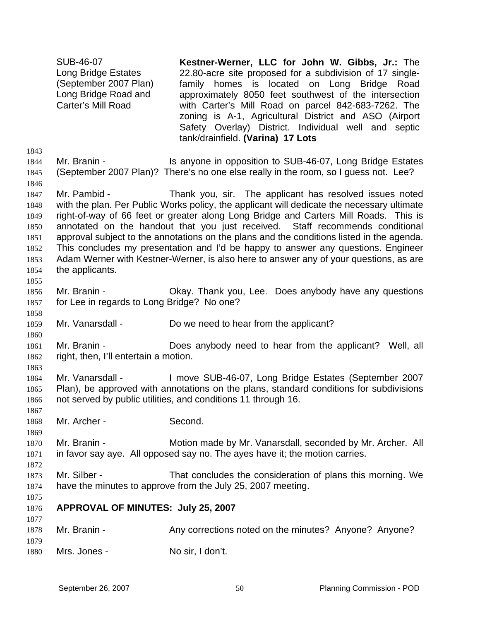SUB-46-07 Long Bridge Estates (September 2007 Plan) Long Bridge Road and Carter's Mill Road **Kestner-Werner, LLC for John W. Gibbs, Jr.:** The 22.80-acre site proposed for a subdivision of 17 singlefamily homes is located on Long Bridge Road approximately 8050 feet southwest of the intersection with Carter's Mill Road on parcel 842-683-7262. The zoning is A-1, Agricultural District and ASO (Airport Safety Overlay) District. Individual well and septic tank/drainfield. **(Varina) 17 Lots** 1843 1844 1845 1846 1847 1848 1849 1850 1851 1852 1853 1854 1855 1856 1857 1858 1859 1860 1861 1862 1863 1864 1865 1866 1867 1868 1869 1870 1871 1872 1873 1874 1875 1876 1877 1878 1879 1880 Mr. Branin - Is anyone in opposition to SUB-46-07, Long Bridge Estates (September 2007 Plan)? There's no one else really in the room, so I guess not. Lee? Mr. Pambid - Thank you, sir. The applicant has resolved issues noted with the plan. Per Public Works policy, the applicant will dedicate the necessary ultimate right-of-way of 66 feet or greater along Long Bridge and Carters Mill Roads. This is annotated on the handout that you just received. Staff recommends conditional approval subject to the annotations on the plans and the conditions listed in the agenda. This concludes my presentation and I'd be happy to answer any questions. Engineer Adam Werner with Kestner-Werner, is also here to answer any of your questions, as are the applicants. Mr. Branin - Ckay. Thank you, Lee. Does anybody have any questions for Lee in regards to Long Bridge? No one? Mr. Vanarsdall - Do we need to hear from the applicant? Mr. Branin - **Does anybody need to hear from the applicant?** Well, all right, then, I'll entertain a motion. Mr. Vanarsdall - I move SUB-46-07, Long Bridge Estates (September 2007 Plan), be approved with annotations on the plans, standard conditions for subdivisions not served by public utilities, and conditions 11 through 16. Mr. Archer - Second. Mr. Branin - Motion made by Mr. Vanarsdall, seconded by Mr. Archer. All in favor say aye. All opposed say no. The ayes have it; the motion carries. Mr. Silber - That concludes the consideration of plans this morning. We have the minutes to approve from the July 25, 2007 meeting. **APPROVAL OF MINUTES: July 25, 2007**  Mr. Branin - Any corrections noted on the minutes? Anyone? Anyone? Mrs. Jones - No sir, I don't.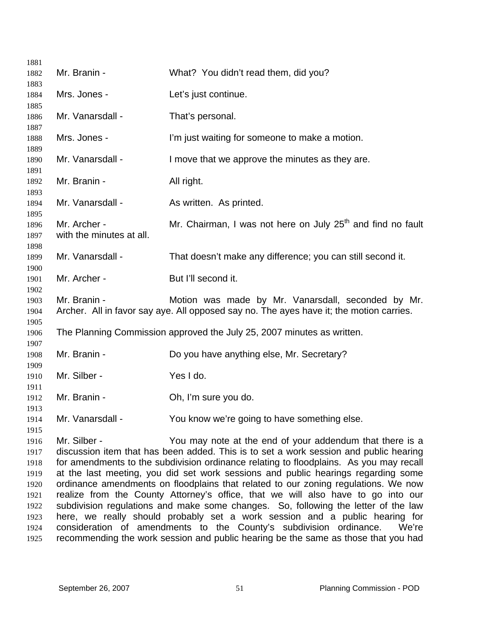| 1881         |                          |                                                                                         |
|--------------|--------------------------|-----------------------------------------------------------------------------------------|
| 1882         | Mr. Branin -             | What? You didn't read them, did you?                                                    |
| 1883         |                          |                                                                                         |
| 1884         | Mrs. Jones -             | Let's just continue.                                                                    |
| 1885<br>1886 | Mr. Vanarsdall -         | That's personal.                                                                        |
| 1887         | Mrs. Jones -             |                                                                                         |
| 1888<br>1889 |                          | I'm just waiting for someone to make a motion.                                          |
| 1890         | Mr. Vanarsdall -         | I move that we approve the minutes as they are.                                         |
| 1891         |                          |                                                                                         |
| 1892         | Mr. Branin -             | All right.                                                                              |
| 1893<br>1894 | Mr. Vanarsdall -         | As written. As printed.                                                                 |
| 1895<br>1896 | Mr. Archer -             | Mr. Chairman, I was not here on July 25 <sup>th</sup> and find no fault                 |
| 1897         | with the minutes at all. |                                                                                         |
| 1898         |                          |                                                                                         |
| 1899         | Mr. Vanarsdall -         | That doesn't make any difference; you can still second it.                              |
| 1900         |                          |                                                                                         |
| 1901         | Mr. Archer -             | But I'll second it.                                                                     |
| 1902         |                          |                                                                                         |
| 1903         | Mr. Branin -             | Motion was made by Mr. Vanarsdall, seconded by Mr.                                      |
| 1904         |                          | Archer. All in favor say aye. All opposed say no. The ayes have it; the motion carries. |
| 1905<br>1906 |                          | The Planning Commission approved the July 25, 2007 minutes as written.                  |
| 1907         |                          |                                                                                         |
| 1908         | Mr. Branin -             | Do you have anything else, Mr. Secretary?                                               |
| 1909         |                          |                                                                                         |
| 1910         | Mr. Silber -             | Yes I do.                                                                               |
| 1911         |                          |                                                                                         |
| 1912         | Mr. Branin -             | Oh, I'm sure you do.                                                                    |
| 1913         |                          |                                                                                         |
| 1914<br>1915 | Mr. Vanarsdall -         | You know we're going to have something else.                                            |
| 1916         | Mr. Silber -             | You may note at the end of your addendum that there is a                                |
| 1917         |                          | discussion item that has been added. This is to set a work session and public hearing   |
| 1918         |                          | for amendments to the subdivision ordinance relating to floodplains. As you may recall  |
| 1919         |                          | at the last meeting, you did set work sessions and public hearings regarding some       |
| 1920         |                          | ordinance amendments on floodplains that related to our zoning regulations. We now      |
| 1921         |                          | realize from the County Attorney's office, that we will also have to go into our        |
| 1922         |                          | subdivision regulations and make some changes. So, following the letter of the law      |
| 1923         |                          | here, we really should probably set a work session and a public hearing for             |
| 1924         |                          | consideration of amendments to the County's subdivision ordinance.<br>We're             |
| 1925         |                          | recommending the work session and public hearing be the same as those that you had      |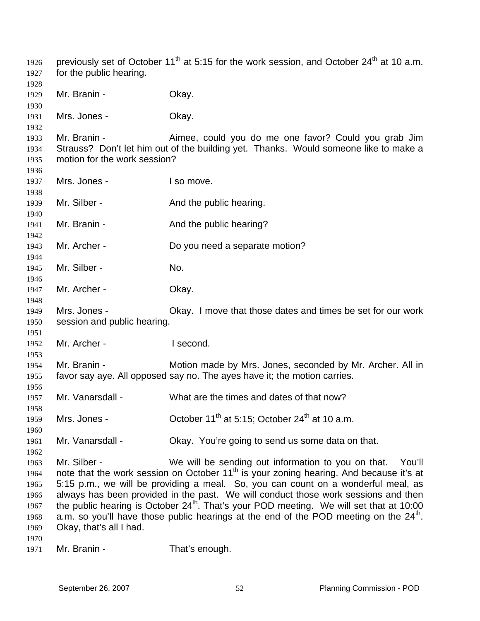| 1926<br>1927                                                 | for the public hearing.                                                                                    | previously set of October 11 <sup>th</sup> at 5:15 for the work session, and October 24 <sup>th</sup> at 10 a.m.                                                                                                                                                                                                                                                                                                                                                                                                                                |
|--------------------------------------------------------------|------------------------------------------------------------------------------------------------------------|-------------------------------------------------------------------------------------------------------------------------------------------------------------------------------------------------------------------------------------------------------------------------------------------------------------------------------------------------------------------------------------------------------------------------------------------------------------------------------------------------------------------------------------------------|
| 1928<br>1929<br>1930                                         | Mr. Branin -                                                                                               | Okay.                                                                                                                                                                                                                                                                                                                                                                                                                                                                                                                                           |
| 1931<br>1932                                                 | Mrs. Jones -                                                                                               | Okay.                                                                                                                                                                                                                                                                                                                                                                                                                                                                                                                                           |
| 1933<br>1934<br>1935                                         | Mr. Branin -<br>motion for the work session?                                                               | Aimee, could you do me one favor? Could you grab Jim<br>Strauss? Don't let him out of the building yet. Thanks. Would someone like to make a                                                                                                                                                                                                                                                                                                                                                                                                    |
| 1936<br>1937<br>1938                                         | Mrs. Jones -                                                                                               | I so move.                                                                                                                                                                                                                                                                                                                                                                                                                                                                                                                                      |
| 1939<br>1940                                                 | Mr. Silber -                                                                                               | And the public hearing.                                                                                                                                                                                                                                                                                                                                                                                                                                                                                                                         |
| 1941<br>1942                                                 | Mr. Branin -                                                                                               | And the public hearing?                                                                                                                                                                                                                                                                                                                                                                                                                                                                                                                         |
| 1943<br>1944                                                 | Mr. Archer -                                                                                               | Do you need a separate motion?                                                                                                                                                                                                                                                                                                                                                                                                                                                                                                                  |
| 1945<br>1946                                                 | Mr. Silber -                                                                                               | No.                                                                                                                                                                                                                                                                                                                                                                                                                                                                                                                                             |
| 1947<br>1948                                                 | Mr. Archer -                                                                                               | Okay.                                                                                                                                                                                                                                                                                                                                                                                                                                                                                                                                           |
| 1949<br>1950<br>1951                                         | Mrs. Jones -<br>Okay. I move that those dates and times be set for our work<br>session and public hearing. |                                                                                                                                                                                                                                                                                                                                                                                                                                                                                                                                                 |
| 1952<br>1953                                                 | Mr. Archer -                                                                                               | I second.                                                                                                                                                                                                                                                                                                                                                                                                                                                                                                                                       |
| 1954<br>1955<br>1956                                         | Mr. Branin -                                                                                               | Motion made by Mrs. Jones, seconded by Mr. Archer. All in<br>favor say aye. All opposed say no. The ayes have it; the motion carries.                                                                                                                                                                                                                                                                                                                                                                                                           |
| 1957<br>1958                                                 | Mr. Vanarsdall -                                                                                           | What are the times and dates of that now?                                                                                                                                                                                                                                                                                                                                                                                                                                                                                                       |
| 1959<br>1960                                                 | Mrs. Jones -                                                                                               | October 11 <sup>th</sup> at 5:15; October 24 <sup>th</sup> at 10 a.m.                                                                                                                                                                                                                                                                                                                                                                                                                                                                           |
| 1961<br>1962                                                 | Mr. Vanarsdall -                                                                                           | Okay. You're going to send us some data on that.                                                                                                                                                                                                                                                                                                                                                                                                                                                                                                |
| 1963<br>1964<br>1965<br>1966<br>1967<br>1968<br>1969<br>1970 | Mr. Silber -<br>Okay, that's all I had.                                                                    | We will be sending out information to you on that.<br>You'll<br>note that the work session on October 11 <sup>th</sup> is your zoning hearing. And because it's at<br>5:15 p.m., we will be providing a meal. So, you can count on a wonderful meal, as<br>always has been provided in the past. We will conduct those work sessions and then<br>the public hearing is October $24th$ . That's your POD meeting. We will set that at 10:00<br>a.m. so you'll have those public hearings at the end of the POD meeting on the 24 <sup>th</sup> . |
|                                                              |                                                                                                            |                                                                                                                                                                                                                                                                                                                                                                                                                                                                                                                                                 |

 Mr. Branin - That's enough.